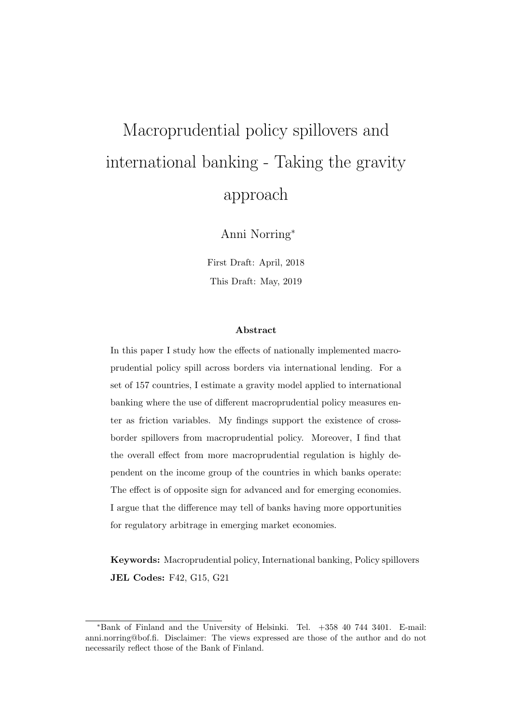# Macroprudential policy spillovers and international banking - Taking the gravity approach

Anni Norring<sup>∗</sup>

First Draft: April, 2018 This Draft: May, 2019

#### Abstract

In this paper I study how the effects of nationally implemented macroprudential policy spill across borders via international lending. For a set of 157 countries, I estimate a gravity model applied to international banking where the use of different macroprudential policy measures enter as friction variables. My findings support the existence of crossborder spillovers from macroprudential policy. Moreover, I find that the overall effect from more macroprudential regulation is highly dependent on the income group of the countries in which banks operate: The effect is of opposite sign for advanced and for emerging economies. I argue that the difference may tell of banks having more opportunities for regulatory arbitrage in emerging market economies.

Keywords: Macroprudential policy, International banking, Policy spillovers JEL Codes: F42, G15, G21

<sup>∗</sup>Bank of Finland and the University of Helsinki. Tel. +358 40 744 3401. E-mail: anni.norring@bof.fi. Disclaimer: The views expressed are those of the author and do not necessarily reflect those of the Bank of Finland.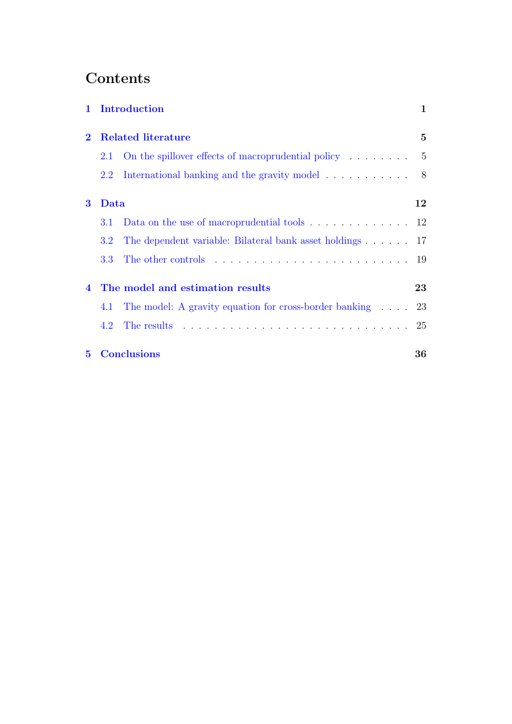## **Contents**

|             |      | 1 Introduction                                                     | 1    |  |  |  |
|-------------|------|--------------------------------------------------------------------|------|--|--|--|
| $\bf{2}$    |      | <b>Related literature</b>                                          |      |  |  |  |
|             | 2.1  | On the spillover effects of macroprudential policy $\ldots \ldots$ | $-5$ |  |  |  |
|             | 2.2  | International banking and the gravity model                        | 8    |  |  |  |
| $\bf{3}$    | Data |                                                                    | 12   |  |  |  |
|             | 3.1  | Data on the use of macroprudential tools $\ldots$ 12               |      |  |  |  |
|             | 3.2  | The dependent variable: Bilateral bank asset holdings $\ldots$ 17  |      |  |  |  |
|             | 3.3  |                                                                    | 19   |  |  |  |
| 4           |      | The model and estimation results                                   | 23   |  |  |  |
|             | 4.1  | The model: A gravity equation for cross-border banking 23          |      |  |  |  |
|             | 4.2  |                                                                    | 25   |  |  |  |
| $5^{\circ}$ |      | <b>Conclusions</b>                                                 | 36   |  |  |  |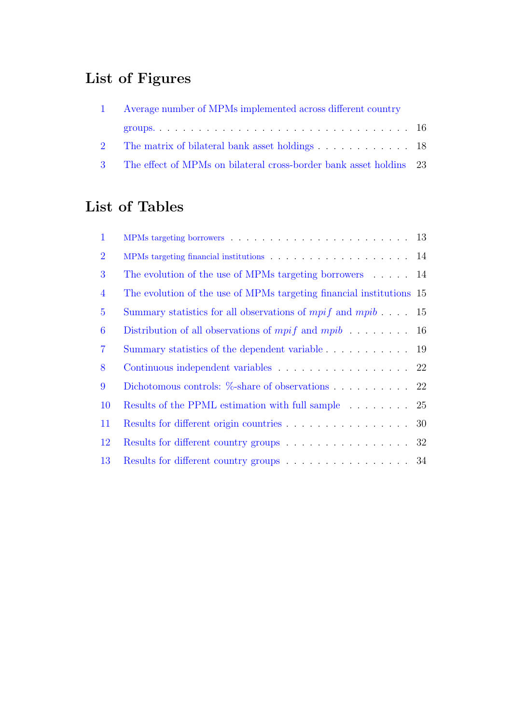## List of Figures

| 1 Average number of MPMs implemented across different country        |  |  |  |  |  |
|----------------------------------------------------------------------|--|--|--|--|--|
|                                                                      |  |  |  |  |  |
|                                                                      |  |  |  |  |  |
| 3 The effect of MPMs on bilateral cross-border bank asset holdins 23 |  |  |  |  |  |

## List of Tables

| $\mathbf{1}$   | MPMs targeting borrowers $\ldots \ldots \ldots \ldots \ldots \ldots \ldots \ldots \ldots 13$ |  |
|----------------|----------------------------------------------------------------------------------------------|--|
| $\overline{2}$ | MPMs targeting financial institutions $\ldots \ldots \ldots \ldots \ldots \ldots \ldots 14$  |  |
| 3              | The evolution of the use of MPMs targeting borrowers $\ldots$ 14                             |  |
| $\overline{4}$ | The evolution of the use of MPMs targeting financial institutions 15                         |  |
| $\overline{5}$ | Summary statistics for all observations of <i>mpif</i> and <i>mpib</i> $\ldots$ 15           |  |
| 6              | Distribution of all observations of $mpi f$ and $mpi b$ 16                                   |  |
| $\overline{7}$ | Summary statistics of the dependent variable 19                                              |  |
| 8              | Continuous independent variables 22                                                          |  |
| 9              | Dichotomous controls: $\%$ -share of observations 22                                         |  |
| <b>10</b>      | Results of the PPML estimation with full sample 25                                           |  |
| 11             | Results for different origin countries $\ldots \ldots \ldots \ldots \ldots$ 30               |  |
| 12             | Results for different country groups 32                                                      |  |
| 13             | Results for different country groups 34                                                      |  |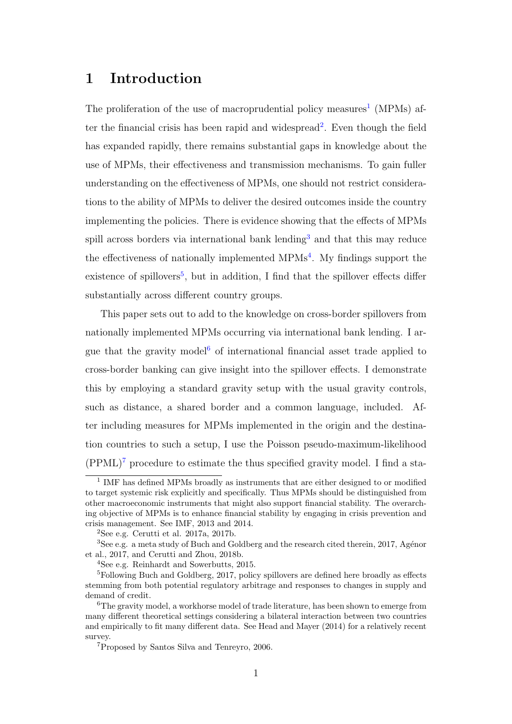## <span id="page-3-0"></span>1 Introduction

The proliferation of the use of macroprudential policy measures<sup>[1](#page-3-1)</sup> (MPMs) af-ter the financial crisis has been rapid and widespread<sup>[2](#page-3-2)</sup>. Even though the field has expanded rapidly, there remains substantial gaps in knowledge about the use of MPMs, their effectiveness and transmission mechanisms. To gain fuller understanding on the effectiveness of MPMs, one should not restrict considerations to the ability of MPMs to deliver the desired outcomes inside the country implementing the policies. There is evidence showing that the effects of MPMs spill across borders via international bank lending<sup>[3](#page-3-3)</sup> and that this may reduce the effectiveness of nationally implemented  $MPMs<sup>4</sup>$  $MPMs<sup>4</sup>$  $MPMs<sup>4</sup>$ . My findings support the existence of spillovers<sup>[5](#page-3-5)</sup>, but in addition, I find that the spillover effects differ substantially across different country groups.

This paper sets out to add to the knowledge on cross-border spillovers from nationally implemented MPMs occurring via international bank lending. I ar-gue that the gravity model<sup>[6](#page-3-6)</sup> of international financial asset trade applied to cross-border banking can give insight into the spillover effects. I demonstrate this by employing a standard gravity setup with the usual gravity controls, such as distance, a shared border and a common language, included. After including measures for MPMs implemented in the origin and the destination countries to such a setup, I use the Poisson pseudo-maximum-likelihood  $(PPML)^7$  $(PPML)^7$  procedure to estimate the thus specified gravity model. I find a sta-

<span id="page-3-1"></span><sup>&</sup>lt;sup>1</sup> IMF has defined MPMs broadly as instruments that are either designed to or modified to target systemic risk explicitly and specifically. Thus MPMs should be distinguished from other macroeconomic instruments that might also support financial stability. The overarching objective of MPMs is to enhance financial stability by engaging in crisis prevention and crisis management. See IMF, 2013 and 2014.

<span id="page-3-3"></span><span id="page-3-2"></span><sup>&</sup>lt;sup>2</sup>See e.g. Cerutti et al. 2017a, 2017b.

<sup>&</sup>lt;sup>3</sup>See e.g. a meta study of Buch and Goldberg and the research cited therein, 2017, Agénor et al., 2017, and Cerutti and Zhou, 2018b.

<span id="page-3-5"></span><span id="page-3-4"></span><sup>4</sup>See e.g. Reinhardt and Sowerbutts, 2015.

<sup>&</sup>lt;sup>5</sup>Following Buch and Goldberg, 2017, policy spillovers are defined here broadly as effects stemming from both potential regulatory arbitrage and responses to changes in supply and demand of credit.

<span id="page-3-6"></span><sup>&</sup>lt;sup>6</sup>The gravity model, a workhorse model of trade literature, has been shown to emerge from many different theoretical settings considering a bilateral interaction between two countries and empirically to fit many different data. See Head and Mayer (2014) for a relatively recent survey.

<span id="page-3-7"></span><sup>7</sup>Proposed by Santos Silva and Tenreyro, 2006.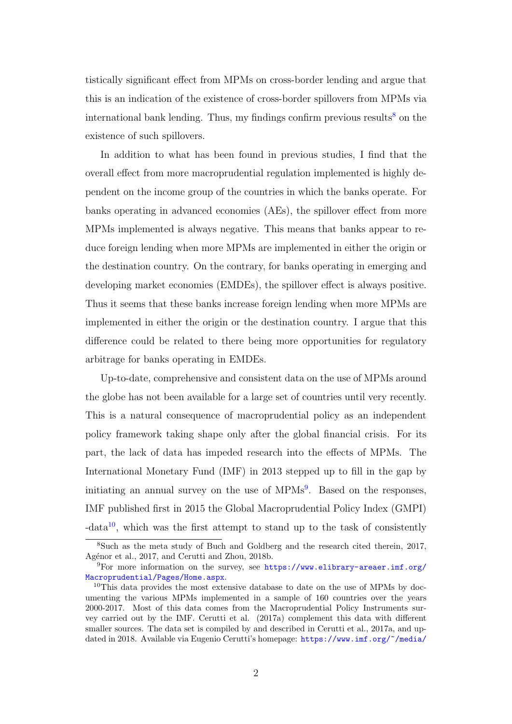tistically significant effect from MPMs on cross-border lending and argue that this is an indication of the existence of cross-border spillovers from MPMs via international bank lending. Thus, my findings confirm previous results<sup>[8](#page-4-0)</sup> on the existence of such spillovers.

In addition to what has been found in previous studies, I find that the overall effect from more macroprudential regulation implemented is highly dependent on the income group of the countries in which the banks operate. For banks operating in advanced economies (AEs), the spillover effect from more MPMs implemented is always negative. This means that banks appear to reduce foreign lending when more MPMs are implemented in either the origin or the destination country. On the contrary, for banks operating in emerging and developing market economies (EMDEs), the spillover effect is always positive. Thus it seems that these banks increase foreign lending when more MPMs are implemented in either the origin or the destination country. I argue that this difference could be related to there being more opportunities for regulatory arbitrage for banks operating in EMDEs.

Up-to-date, comprehensive and consistent data on the use of MPMs around the globe has not been available for a large set of countries until very recently. This is a natural consequence of macroprudential policy as an independent policy framework taking shape only after the global financial crisis. For its part, the lack of data has impeded research into the effects of MPMs. The International Monetary Fund (IMF) in 2013 stepped up to fill in the gap by initiating an annual survey on the use of MPMs<sup>[9](#page-4-1)</sup>. Based on the responses, IMF published first in 2015 the Global Macroprudential Policy Index (GMPI)  $-\text{data}^{10}$  $-\text{data}^{10}$  $-\text{data}^{10}$ , which was the first attempt to stand up to the task of consistently

<span id="page-4-0"></span><sup>8</sup>Such as the meta study of Buch and Goldberg and the research cited therein, 2017, Agénor et al., 2017, and Cerutti and Zhou, 2018b.

<span id="page-4-1"></span><sup>9</sup>For more information on the survey, see [https://www.elibrary-areaer.imf.org/](https://www.elibrary-areaer.imf.org/Macroprudential/Pages/Home.aspx) [Macroprudential/Pages/Home.aspx](https://www.elibrary-areaer.imf.org/Macroprudential/Pages/Home.aspx).

<span id="page-4-2"></span><sup>&</sup>lt;sup>10</sup>This data provides the most extensive database to date on the use of MPMs by documenting the various MPMs implemented in a sample of 160 countries over the years 2000-2017. Most of this data comes from the Macroprudential Policy Instruments survey carried out by the IMF. Cerutti et al. (2017a) complement this data with different smaller sources. The data set is compiled by and described in Cerutti et al., 2017a, and updated in 2018. Available via Eugenio Cerutti's homepage: [https://www.imf.org/~/media/](https://www.imf.org/~/media/Websites/IMF/imported-datasets/external/pubs/ft/wp/2015/Data/_wp1561.ashx)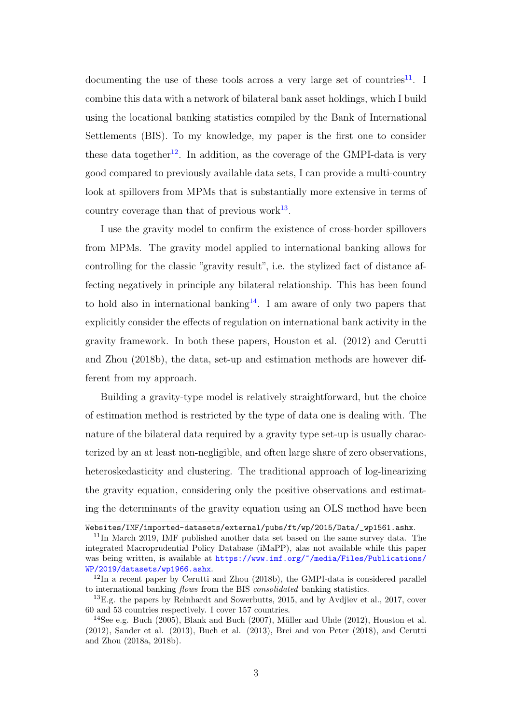[documenting the use of these tools across a very large set of countries](https://www.imf.org/~/media/Websites/IMF/imported-datasets/external/pubs/ft/wp/2015/Data/_wp1561.ashx)<sup>[11](#page-5-0)</sup>. I [combine this data with a network of bilateral bank asset holdings, which I build](https://www.imf.org/~/media/Websites/IMF/imported-datasets/external/pubs/ft/wp/2015/Data/_wp1561.ashx) [using the locational banking statistics compiled by the Bank of International](https://www.imf.org/~/media/Websites/IMF/imported-datasets/external/pubs/ft/wp/2015/Data/_wp1561.ashx) [Settlements \(BIS\). To my knowledge, my paper is the first one to consider](https://www.imf.org/~/media/Websites/IMF/imported-datasets/external/pubs/ft/wp/2015/Data/_wp1561.ashx) these data together<sup>[12](#page-5-1)</sup>[. In addition, as the coverage of the GMPI-data is very](https://www.imf.org/~/media/Websites/IMF/imported-datasets/external/pubs/ft/wp/2015/Data/_wp1561.ashx) [good compared to previously available data sets, I can provide a multi-country](https://www.imf.org/~/media/Websites/IMF/imported-datasets/external/pubs/ft/wp/2015/Data/_wp1561.ashx) [look at spillovers from MPMs that is substantially more extensive in terms of](https://www.imf.org/~/media/Websites/IMF/imported-datasets/external/pubs/ft/wp/2015/Data/_wp1561.ashx) [country coverage than that of previous work](https://www.imf.org/~/media/Websites/IMF/imported-datasets/external/pubs/ft/wp/2015/Data/_wp1561.ashx) $^{13}$  $^{13}$  $^{13}$ .

[I use the gravity model to confirm the existence of cross-border spillovers](https://www.imf.org/~/media/Websites/IMF/imported-datasets/external/pubs/ft/wp/2015/Data/_wp1561.ashx) [from MPMs. The gravity model applied to international banking allows for](https://www.imf.org/~/media/Websites/IMF/imported-datasets/external/pubs/ft/wp/2015/Data/_wp1561.ashx) [controlling for the classic "gravity result", i.e. the stylized fact of distance af](https://www.imf.org/~/media/Websites/IMF/imported-datasets/external/pubs/ft/wp/2015/Data/_wp1561.ashx)[fecting negatively in principle any bilateral relationship. This has been found](https://www.imf.org/~/media/Websites/IMF/imported-datasets/external/pubs/ft/wp/2015/Data/_wp1561.ashx) to hold also in international banking<sup>[14](#page-5-3)</sup>[. I am aware of only two papers that](https://www.imf.org/~/media/Websites/IMF/imported-datasets/external/pubs/ft/wp/2015/Data/_wp1561.ashx) [explicitly consider the effects of regulation on international bank activity in the](https://www.imf.org/~/media/Websites/IMF/imported-datasets/external/pubs/ft/wp/2015/Data/_wp1561.ashx) [gravity framework. In both these papers, Houston et al. \(2012\) and Cerutti](https://www.imf.org/~/media/Websites/IMF/imported-datasets/external/pubs/ft/wp/2015/Data/_wp1561.ashx) [and Zhou \(2018b\), the data, set-up and estimation methods are however dif](https://www.imf.org/~/media/Websites/IMF/imported-datasets/external/pubs/ft/wp/2015/Data/_wp1561.ashx)[ferent from my approach.](https://www.imf.org/~/media/Websites/IMF/imported-datasets/external/pubs/ft/wp/2015/Data/_wp1561.ashx)

[Building a gravity-type model is relatively straightforward, but the choice](https://www.imf.org/~/media/Websites/IMF/imported-datasets/external/pubs/ft/wp/2015/Data/_wp1561.ashx) [of estimation method is restricted by the type of data one is dealing with. The](https://www.imf.org/~/media/Websites/IMF/imported-datasets/external/pubs/ft/wp/2015/Data/_wp1561.ashx) [nature of the bilateral data required by a gravity type set-up is usually charac](https://www.imf.org/~/media/Websites/IMF/imported-datasets/external/pubs/ft/wp/2015/Data/_wp1561.ashx)[terized by an at least non-negligible, and often large share of zero observations,](https://www.imf.org/~/media/Websites/IMF/imported-datasets/external/pubs/ft/wp/2015/Data/_wp1561.ashx) [heteroskedasticity and clustering. The traditional approach of log-linearizing](https://www.imf.org/~/media/Websites/IMF/imported-datasets/external/pubs/ft/wp/2015/Data/_wp1561.ashx) [the gravity equation, considering only the positive observations and estimat](https://www.imf.org/~/media/Websites/IMF/imported-datasets/external/pubs/ft/wp/2015/Data/_wp1561.ashx)[ing the determinants of the gravity equation using an OLS method have been](https://www.imf.org/~/media/Websites/IMF/imported-datasets/external/pubs/ft/wp/2015/Data/_wp1561.ashx)

[Websites/IMF/imported-datasets/external/pubs/ft/wp/2015/Data/\\_wp1561.ashx](https://www.imf.org/~/media/Websites/IMF/imported-datasets/external/pubs/ft/wp/2015/Data/_wp1561.ashx).

<span id="page-5-0"></span><sup>11</sup>In March 2019, IMF published another data set based on the same survey data. The integrated Macroprudential Policy Database (iMaPP), alas not available while this paper was being written, is available at [https://www.imf.org/~/media/Files/Publications/](https://www.imf.org/~/media/Files/Publications/WP/2019/datasets/wp1966.ashx) [WP/2019/datasets/wp1966.ashx](https://www.imf.org/~/media/Files/Publications/WP/2019/datasets/wp1966.ashx).

<span id="page-5-1"></span><sup>&</sup>lt;sup>12</sup>In a recent paper by Cerutti and Zhou (2018b), the GMPI-data is considered parallel to international banking flows from the BIS consolidated banking statistics.

<span id="page-5-2"></span> $^{13}$ E.g. the papers by Reinhardt and Sowerbutts, 2015, and by Avdilev et al., 2017, cover 60 and 53 countries respectively. I cover 157 countries.

<span id="page-5-3"></span><sup>&</sup>lt;sup>14</sup>See e.g. Buch (2005), Blank and Buch (2007), Müller and Uhde (2012), Houston et al. (2012), Sander et al. (2013), Buch et al. (2013), Brei and von Peter (2018), and Cerutti and Zhou (2018a, 2018b).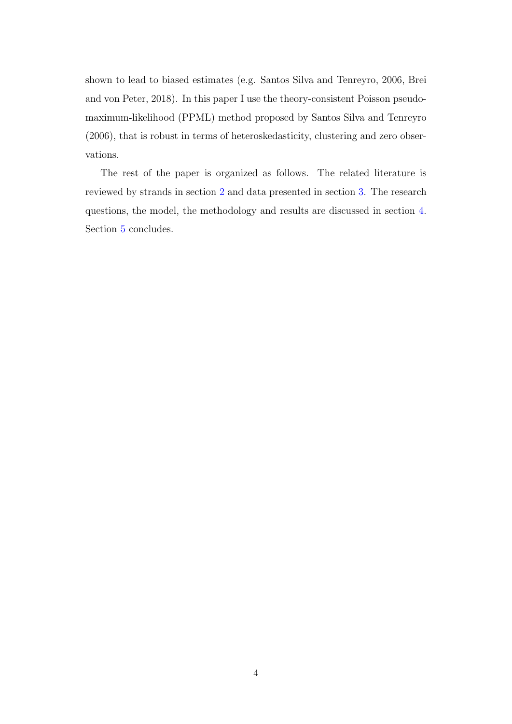shown to lead to biased estimates (e.g. Santos Silva and Tenreyro, 2006, Brei and von Peter, 2018). In this paper I use the theory-consistent Poisson pseudomaximum-likelihood (PPML) method proposed by Santos Silva and Tenreyro (2006), that is robust in terms of heteroskedasticity, clustering and zero observations.

The rest of the paper is organized as follows. The related literature is reviewed by strands in section [2](#page-7-0) and data presented in section [3.](#page-14-0) The research questions, the model, the methodology and results are discussed in section [4.](#page-25-0) Section [5](#page-38-0) concludes.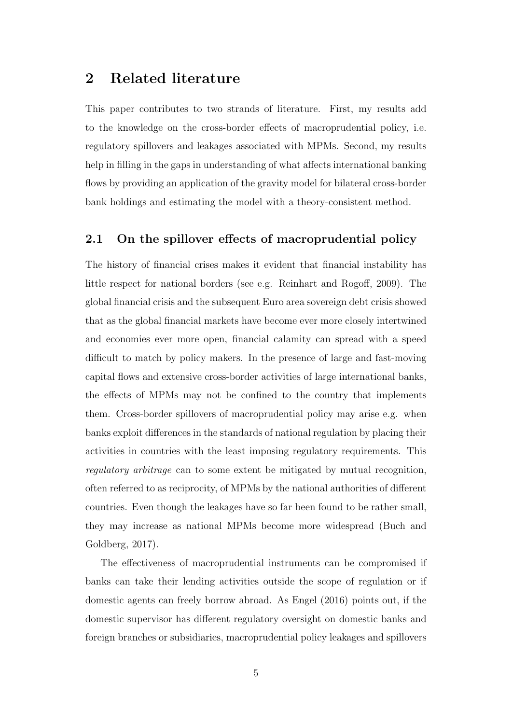### <span id="page-7-0"></span>2 Related literature

This paper contributes to two strands of literature. First, my results add to the knowledge on the cross-border effects of macroprudential policy, i.e. regulatory spillovers and leakages associated with MPMs. Second, my results help in filling in the gaps in understanding of what affects international banking flows by providing an application of the gravity model for bilateral cross-border bank holdings and estimating the model with a theory-consistent method.

#### <span id="page-7-1"></span>2.1 On the spillover effects of macroprudential policy

The history of financial crises makes it evident that financial instability has little respect for national borders (see e.g. Reinhart and Rogoff, 2009). The global financial crisis and the subsequent Euro area sovereign debt crisis showed that as the global financial markets have become ever more closely intertwined and economies ever more open, financial calamity can spread with a speed difficult to match by policy makers. In the presence of large and fast-moving capital flows and extensive cross-border activities of large international banks, the effects of MPMs may not be confined to the country that implements them. Cross-border spillovers of macroprudential policy may arise e.g. when banks exploit differences in the standards of national regulation by placing their activities in countries with the least imposing regulatory requirements. This regulatory arbitrage can to some extent be mitigated by mutual recognition, often referred to as reciprocity, of MPMs by the national authorities of different countries. Even though the leakages have so far been found to be rather small, they may increase as national MPMs become more widespread (Buch and Goldberg, 2017).

The effectiveness of macroprudential instruments can be compromised if banks can take their lending activities outside the scope of regulation or if domestic agents can freely borrow abroad. As Engel (2016) points out, if the domestic supervisor has different regulatory oversight on domestic banks and foreign branches or subsidiaries, macroprudential policy leakages and spillovers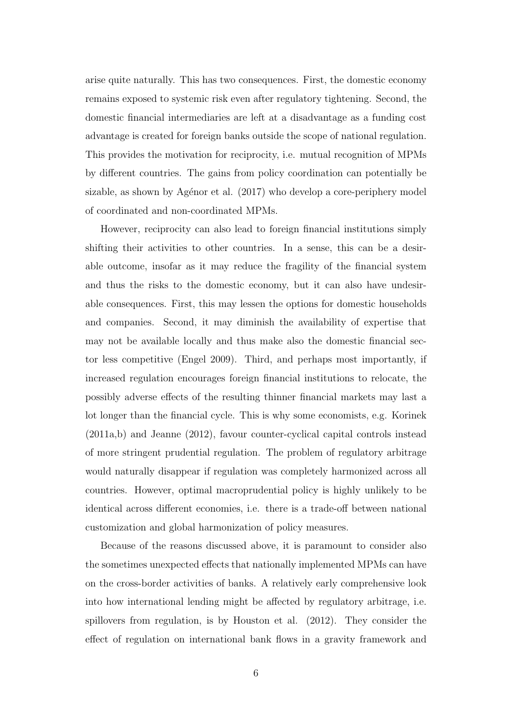arise quite naturally. This has two consequences. First, the domestic economy remains exposed to systemic risk even after regulatory tightening. Second, the domestic financial intermediaries are left at a disadvantage as a funding cost advantage is created for foreign banks outside the scope of national regulation. This provides the motivation for reciprocity, i.e. mutual recognition of MPMs by different countries. The gains from policy coordination can potentially be sizable, as shown by Agénor et al. (2017) who develop a core-periphery model of coordinated and non-coordinated MPMs.

However, reciprocity can also lead to foreign financial institutions simply shifting their activities to other countries. In a sense, this can be a desirable outcome, insofar as it may reduce the fragility of the financial system and thus the risks to the domestic economy, but it can also have undesirable consequences. First, this may lessen the options for domestic households and companies. Second, it may diminish the availability of expertise that may not be available locally and thus make also the domestic financial sector less competitive (Engel 2009). Third, and perhaps most importantly, if increased regulation encourages foreign financial institutions to relocate, the possibly adverse effects of the resulting thinner financial markets may last a lot longer than the financial cycle. This is why some economists, e.g. Korinek (2011a,b) and Jeanne (2012), favour counter-cyclical capital controls instead of more stringent prudential regulation. The problem of regulatory arbitrage would naturally disappear if regulation was completely harmonized across all countries. However, optimal macroprudential policy is highly unlikely to be identical across different economies, i.e. there is a trade-off between national customization and global harmonization of policy measures.

Because of the reasons discussed above, it is paramount to consider also the sometimes unexpected effects that nationally implemented MPMs can have on the cross-border activities of banks. A relatively early comprehensive look into how international lending might be affected by regulatory arbitrage, i.e. spillovers from regulation, is by Houston et al. (2012). They consider the effect of regulation on international bank flows in a gravity framework and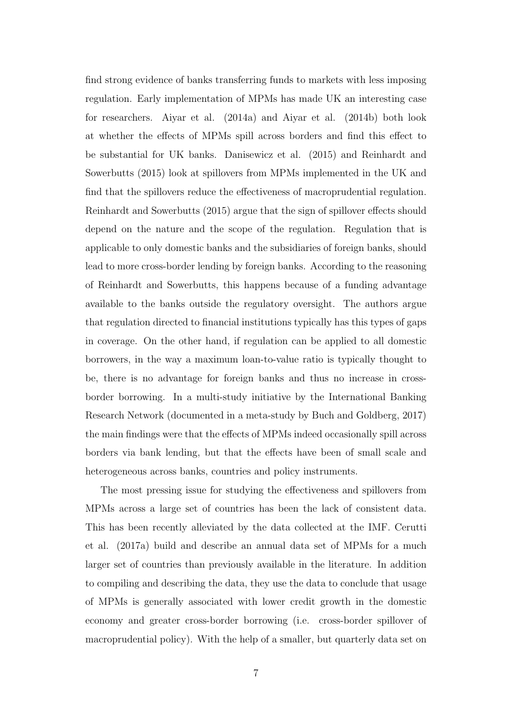find strong evidence of banks transferring funds to markets with less imposing regulation. Early implementation of MPMs has made UK an interesting case for researchers. Aiyar et al. (2014a) and Aiyar et al. (2014b) both look at whether the effects of MPMs spill across borders and find this effect to be substantial for UK banks. Danisewicz et al. (2015) and Reinhardt and Sowerbutts (2015) look at spillovers from MPMs implemented in the UK and find that the spillovers reduce the effectiveness of macroprudential regulation. Reinhardt and Sowerbutts (2015) argue that the sign of spillover effects should depend on the nature and the scope of the regulation. Regulation that is applicable to only domestic banks and the subsidiaries of foreign banks, should lead to more cross-border lending by foreign banks. According to the reasoning of Reinhardt and Sowerbutts, this happens because of a funding advantage available to the banks outside the regulatory oversight. The authors argue that regulation directed to financial institutions typically has this types of gaps in coverage. On the other hand, if regulation can be applied to all domestic borrowers, in the way a maximum loan-to-value ratio is typically thought to be, there is no advantage for foreign banks and thus no increase in crossborder borrowing. In a multi-study initiative by the International Banking Research Network (documented in a meta-study by Buch and Goldberg, 2017) the main findings were that the effects of MPMs indeed occasionally spill across borders via bank lending, but that the effects have been of small scale and heterogeneous across banks, countries and policy instruments.

The most pressing issue for studying the effectiveness and spillovers from MPMs across a large set of countries has been the lack of consistent data. This has been recently alleviated by the data collected at the IMF. Cerutti et al. (2017a) build and describe an annual data set of MPMs for a much larger set of countries than previously available in the literature. In addition to compiling and describing the data, they use the data to conclude that usage of MPMs is generally associated with lower credit growth in the domestic economy and greater cross-border borrowing (i.e. cross-border spillover of macroprudential policy). With the help of a smaller, but quarterly data set on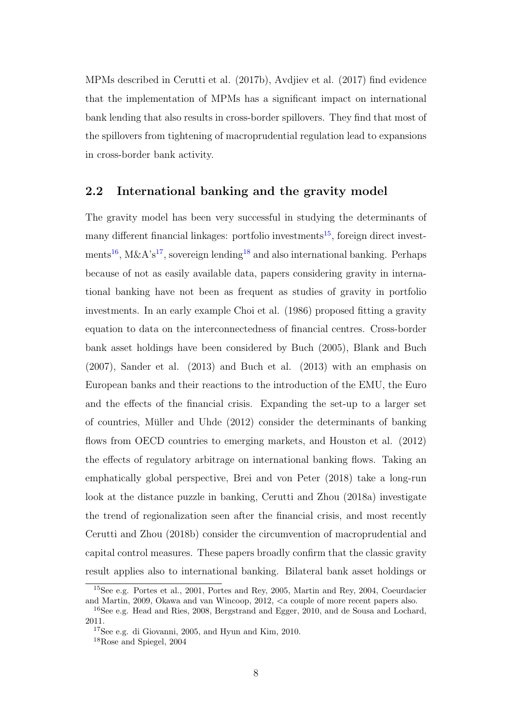MPMs described in Cerutti et al. (2017b), Avdjiev et al. (2017) find evidence that the implementation of MPMs has a significant impact on international bank lending that also results in cross-border spillovers. They find that most of the spillovers from tightening of macroprudential regulation lead to expansions in cross-border bank activity.

#### <span id="page-10-0"></span>2.2 International banking and the gravity model

The gravity model has been very successful in studying the determinants of many different financial linkages: portfolio investments<sup>[15](#page-10-1)</sup>, foreign direct invest-ments<sup>[16](#page-10-2)</sup>, M&A's<sup>[17](#page-10-3)</sup>, sovereign lending<sup>[18](#page-10-4)</sup> and also international banking. Perhaps because of not as easily available data, papers considering gravity in international banking have not been as frequent as studies of gravity in portfolio investments. In an early example Choi et al. (1986) proposed fitting a gravity equation to data on the interconnectedness of financial centres. Cross-border bank asset holdings have been considered by Buch (2005), Blank and Buch (2007), Sander et al. (2013) and Buch et al. (2013) with an emphasis on European banks and their reactions to the introduction of the EMU, the Euro and the effects of the financial crisis. Expanding the set-up to a larger set of countries, Müller and Uhde  $(2012)$  consider the determinants of banking flows from OECD countries to emerging markets, and Houston et al. (2012) the effects of regulatory arbitrage on international banking flows. Taking an emphatically global perspective, Brei and von Peter (2018) take a long-run look at the distance puzzle in banking, Cerutti and Zhou (2018a) investigate the trend of regionalization seen after the financial crisis, and most recently Cerutti and Zhou (2018b) consider the circumvention of macroprudential and capital control measures. These papers broadly confirm that the classic gravity result applies also to international banking. Bilateral bank asset holdings or

<span id="page-10-1"></span><sup>15</sup>See e.g. Portes et al., 2001, Portes and Rey, 2005, Martin and Rey, 2004, Coeurdacier and Martin, 2009, Okawa and van Wincoop, 2012, <a couple of more recent papers also.

<span id="page-10-2"></span><sup>16</sup>See e.g. Head and Ries, 2008, Bergstrand and Egger, 2010, and de Sousa and Lochard, 2011.

<span id="page-10-3"></span><sup>17</sup>See e.g. di Giovanni, 2005, and Hyun and Kim, 2010.

<span id="page-10-4"></span><sup>18</sup>Rose and Spiegel, 2004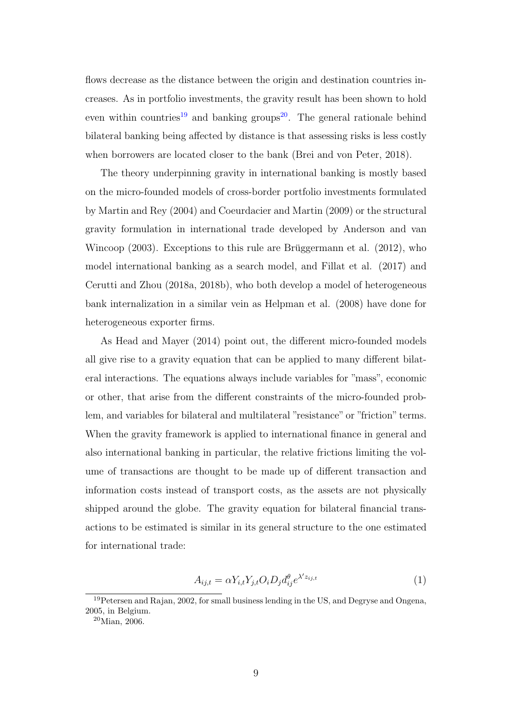flows decrease as the distance between the origin and destination countries increases. As in portfolio investments, the gravity result has been shown to hold even within countries<sup>[19](#page-11-0)</sup> and banking groups<sup>[20](#page-11-1)</sup>. The general rationale behind bilateral banking being affected by distance is that assessing risks is less costly when borrowers are located closer to the bank (Brei and von Peter, 2018).

The theory underpinning gravity in international banking is mostly based on the micro-founded models of cross-border portfolio investments formulated by Martin and Rey (2004) and Coeurdacier and Martin (2009) or the structural gravity formulation in international trade developed by Anderson and van Wincoop  $(2003)$ . Exceptions to this rule are Brüggermann et al.  $(2012)$ , who model international banking as a search model, and Fillat et al. (2017) and Cerutti and Zhou (2018a, 2018b), who both develop a model of heterogeneous bank internalization in a similar vein as Helpman et al. (2008) have done for heterogeneous exporter firms.

As Head and Mayer (2014) point out, the different micro-founded models all give rise to a gravity equation that can be applied to many different bilateral interactions. The equations always include variables for "mass", economic or other, that arise from the different constraints of the micro-founded problem, and variables for bilateral and multilateral "resistance" or "friction" terms. When the gravity framework is applied to international finance in general and also international banking in particular, the relative frictions limiting the volume of transactions are thought to be made up of different transaction and information costs instead of transport costs, as the assets are not physically shipped around the globe. The gravity equation for bilateral financial transactions to be estimated is similar in its general structure to the one estimated for international trade:

$$
A_{ij,t} = \alpha Y_{i,t} Y_{j,t} O_i D_j d_{ij}^{\theta} e^{\lambda' z_{ij,t}}
$$
\n
$$
\tag{1}
$$

<span id="page-11-0"></span><sup>&</sup>lt;sup>19</sup>Petersen and Rajan, 2002, for small business lending in the US, and Degryse and Ongena, 2005, in Belgium.

<span id="page-11-1"></span> $20$ Mian,  $2006$ .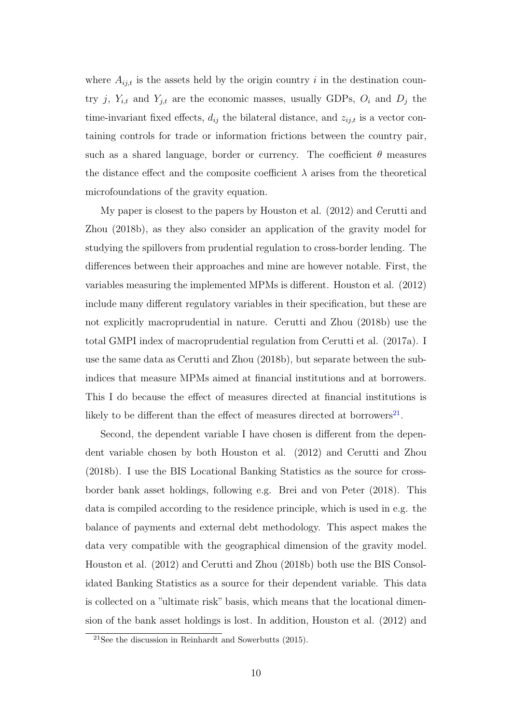where  $A_{ij,t}$  is the assets held by the origin country i in the destination country j,  $Y_{i,t}$  and  $Y_{j,t}$  are the economic masses, usually GDPs,  $O_i$  and  $D_j$  the time-invariant fixed effects,  $d_{ij}$  the bilateral distance, and  $z_{ij,t}$  is a vector containing controls for trade or information frictions between the country pair, such as a shared language, border or currency. The coefficient  $\theta$  measures the distance effect and the composite coefficient  $\lambda$  arises from the theoretical microfoundations of the gravity equation.

My paper is closest to the papers by Houston et al. (2012) and Cerutti and Zhou (2018b), as they also consider an application of the gravity model for studying the spillovers from prudential regulation to cross-border lending. The differences between their approaches and mine are however notable. First, the variables measuring the implemented MPMs is different. Houston et al. (2012) include many different regulatory variables in their specification, but these are not explicitly macroprudential in nature. Cerutti and Zhou (2018b) use the total GMPI index of macroprudential regulation from Cerutti et al. (2017a). I use the same data as Cerutti and Zhou (2018b), but separate between the subindices that measure MPMs aimed at financial institutions and at borrowers. This I do because the effect of measures directed at financial institutions is likely to be different than the effect of measures directed at borrowers<sup>[21](#page-12-0)</sup>.

Second, the dependent variable I have chosen is different from the dependent variable chosen by both Houston et al. (2012) and Cerutti and Zhou (2018b). I use the BIS Locational Banking Statistics as the source for crossborder bank asset holdings, following e.g. Brei and von Peter (2018). This data is compiled according to the residence principle, which is used in e.g. the balance of payments and external debt methodology. This aspect makes the data very compatible with the geographical dimension of the gravity model. Houston et al. (2012) and Cerutti and Zhou (2018b) both use the BIS Consolidated Banking Statistics as a source for their dependent variable. This data is collected on a "ultimate risk" basis, which means that the locational dimension of the bank asset holdings is lost. In addition, Houston et al. (2012) and

<span id="page-12-0"></span><sup>&</sup>lt;sup>21</sup>See the discussion in Reinhardt and Sowerbutts  $(2015)$ .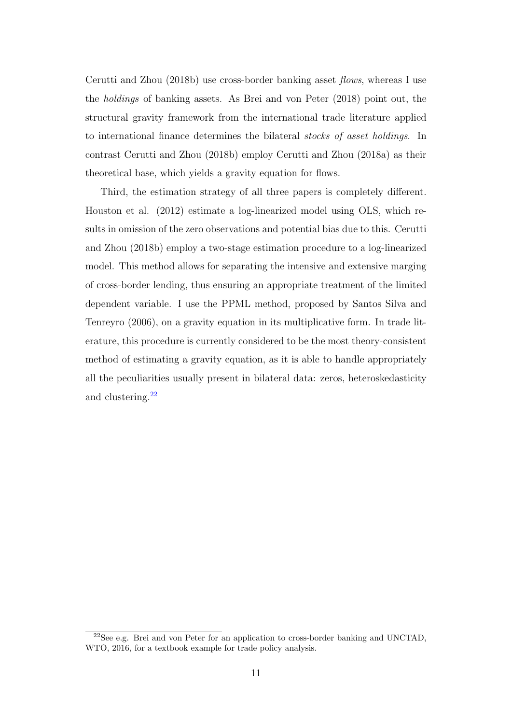Cerutti and Zhou (2018b) use cross-border banking asset flows, whereas I use the holdings of banking assets. As Brei and von Peter (2018) point out, the structural gravity framework from the international trade literature applied to international finance determines the bilateral stocks of asset holdings. In contrast Cerutti and Zhou (2018b) employ Cerutti and Zhou (2018a) as their theoretical base, which yields a gravity equation for flows.

Third, the estimation strategy of all three papers is completely different. Houston et al. (2012) estimate a log-linearized model using OLS, which results in omission of the zero observations and potential bias due to this. Cerutti and Zhou (2018b) employ a two-stage estimation procedure to a log-linearized model. This method allows for separating the intensive and extensive marging of cross-border lending, thus ensuring an appropriate treatment of the limited dependent variable. I use the PPML method, proposed by Santos Silva and Tenreyro (2006), on a gravity equation in its multiplicative form. In trade literature, this procedure is currently considered to be the most theory-consistent method of estimating a gravity equation, as it is able to handle appropriately all the peculiarities usually present in bilateral data: zeros, heteroskedasticity and clustering.[22](#page-13-0)

<span id="page-13-0"></span><sup>22</sup>See e.g. Brei and von Peter for an application to cross-border banking and UNCTAD, WTO, 2016, for a textbook example for trade policy analysis.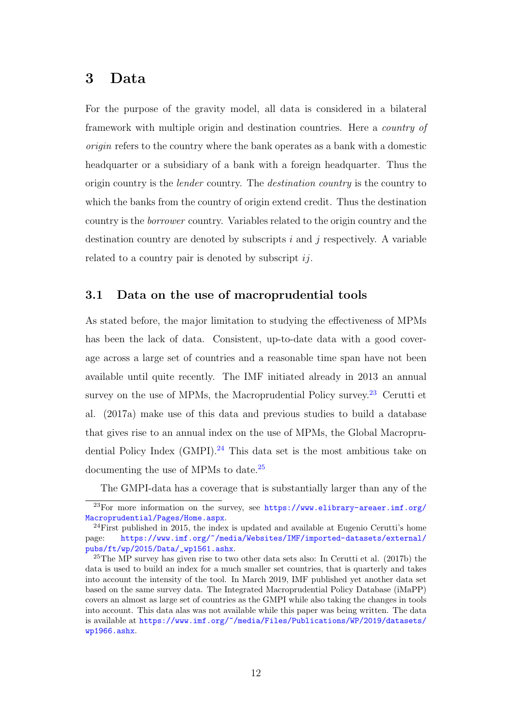### <span id="page-14-0"></span>3 Data

For the purpose of the gravity model, all data is considered in a bilateral framework with multiple origin and destination countries. Here a country of origin refers to the country where the bank operates as a bank with a domestic headquarter or a subsidiary of a bank with a foreign headquarter. Thus the origin country is the lender country. The destination country is the country to which the banks from the country of origin extend credit. Thus the destination country is the borrower country. Variables related to the origin country and the destination country are denoted by subscripts  $i$  and  $j$  respectively. A variable related to a country pair is denoted by subscript  $ij$ .

#### <span id="page-14-1"></span>3.1 Data on the use of macroprudential tools

As stated before, the major limitation to studying the effectiveness of MPMs has been the lack of data. Consistent, up-to-date data with a good coverage across a large set of countries and a reasonable time span have not been available until quite recently. The IMF initiated already in 2013 an annual survey on the use of MPMs, the Macroprudential Policy survey.<sup>[23](#page-14-2)</sup> Cerutti et al. (2017a) make use of this data and previous studies to build a database that gives rise to an annual index on the use of MPMs, the Global Macroprudential Policy Index  $(GMPI)$ .<sup>[24](#page-14-3)</sup> This data set is the most ambitious take on documenting the use of MPMs to date.[25](#page-14-4)

<span id="page-14-2"></span>The GMPI-data has a coverage that is substantially larger than any of the

<sup>&</sup>lt;sup>23</sup>For more information on the survey, see [https://www.elibrary-areaer.imf.org/](https://www.elibrary-areaer.imf.org/Macroprudential/Pages/Home.aspx) [Macroprudential/Pages/Home.aspx](https://www.elibrary-areaer.imf.org/Macroprudential/Pages/Home.aspx).

<span id="page-14-3"></span> $^{24}$ First published in 2015, the index is updated and available at Eugenio Cerutti's home page: [https://www.imf.org/~/media/Websites/IMF/imported-datasets/external/](https://www.imf.org/~/media/Websites/IMF/imported-datasets/external/pubs/ft/wp/2015/Data/_wp1561.ashx) [pubs/ft/wp/2015/Data/\\_wp1561.ashx](https://www.imf.org/~/media/Websites/IMF/imported-datasets/external/pubs/ft/wp/2015/Data/_wp1561.ashx).

<span id="page-14-4"></span> $25$ The MP survey has given rise to two other data sets also: In Cerutti et al. (2017b) the data is used to build an index for a much smaller set countries, that is quarterly and takes into account the intensity of the tool. In March 2019, IMF published yet another data set based on the same survey data. The Integrated Macroprudential Policy Database (iMaPP) covers an almost as large set of countries as the GMPI while also taking the changes in tools into account. This data alas was not available while this paper was being written. The data is available at [https://www.imf.org/~/media/Files/Publications/WP/2019/datasets/](https://www.imf.org/~/media/Files/Publications/WP/2019/datasets/wp1966.ashx) [wp1966.ashx](https://www.imf.org/~/media/Files/Publications/WP/2019/datasets/wp1966.ashx).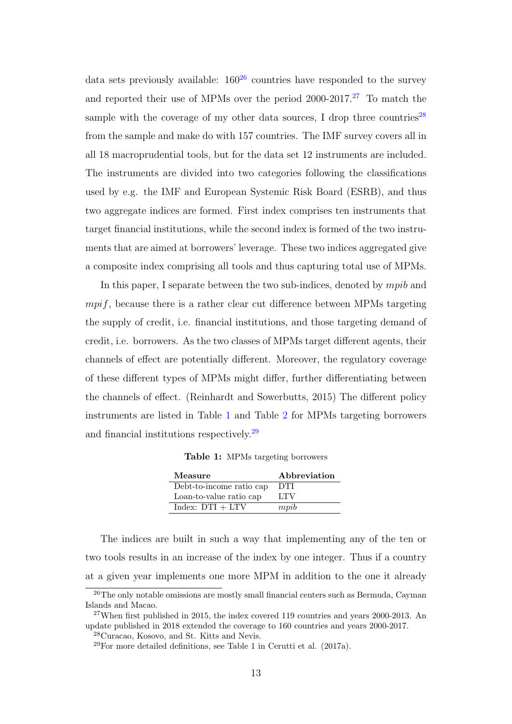data sets previously available:  $160^{26}$  $160^{26}$  $160^{26}$  countries have responded to the survey and reported their use of MPMs over the period  $2000-2017<sup>27</sup>$  $2000-2017<sup>27</sup>$  $2000-2017<sup>27</sup>$  To match the sample with the coverage of my other data sources, I drop three countries<sup>[28](#page-15-3)</sup> from the sample and make do with 157 countries. The IMF survey covers all in all 18 macroprudential tools, but for the data set 12 instruments are included. The instruments are divided into two categories following the classifications used by e.g. the IMF and European Systemic Risk Board (ESRB), and thus two aggregate indices are formed. First index comprises ten instruments that target financial institutions, while the second index is formed of the two instruments that are aimed at borrowers' leverage. These two indices aggregated give a composite index comprising all tools and thus capturing total use of MPMs.

In this paper, I separate between the two sub-indices, denoted by *mpib* and  $mpif$ , because there is a rather clear cut difference between MPMs targeting the supply of credit, i.e. financial institutions, and those targeting demand of credit, i.e. borrowers. As the two classes of MPMs target different agents, their channels of effect are potentially different. Moreover, the regulatory coverage of these different types of MPMs might differ, further differentiating between the channels of effect. (Reinhardt and Sowerbutts, 2015) The different policy instruments are listed in Table [1](#page-15-0) and Table [2](#page-16-0) for MPMs targeting borrowers and financial institutions respectively.[29](#page-15-4)

Table 1: MPMs targeting borrowers

<span id="page-15-0"></span>

| Measure                  | Abbreviation |
|--------------------------|--------------|
| Debt-to-income ratio cap | <b>DTI</b>   |
| Loan-to-value ratio cap  | LTV          |
| Index: $DTI + LTV$       | mpib         |

The indices are built in such a way that implementing any of the ten or two tools results in an increase of the index by one integer. Thus if a country at a given year implements one more MPM in addition to the one it already

<span id="page-15-1"></span><sup>&</sup>lt;sup>26</sup>The only notable omissions are mostly small financial centers such as Bermuda, Cayman Islands and Macao.

<span id="page-15-2"></span> $^{27}$ When first published in 2015, the index covered 119 countries and years 2000-2013. An update published in 2018 extended the coverage to 160 countries and years 2000-2017.

<span id="page-15-3"></span><sup>28</sup>Curacao, Kosovo, and St. Kitts and Nevis.

<span id="page-15-4"></span> $^{29}$ For more detailed definitions, see Table 1 in Cerutti et al. (2017a).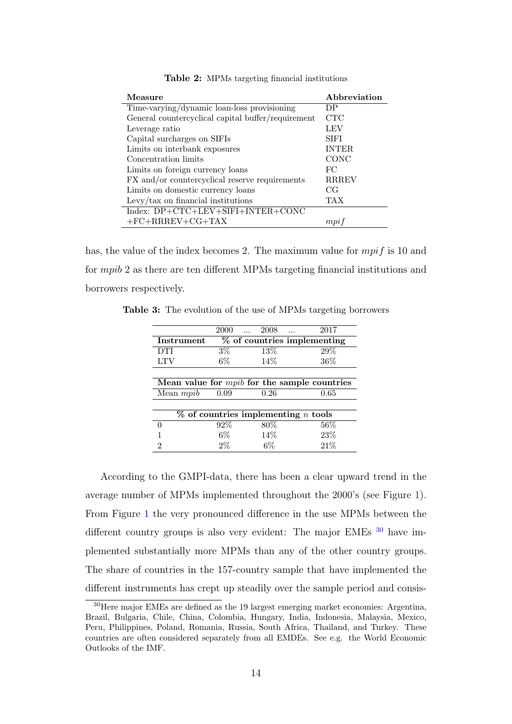<span id="page-16-0"></span>

| Measure                                            | Abbreviation |
|----------------------------------------------------|--------------|
| Time-varying/dynamic loan-loss provisioning        | DP           |
| General countercyclical capital buffer/requirement | <b>CTC</b>   |
| Leverage ratio                                     | LEV          |
| Capital surcharges on SIFIs                        | SIFI         |
| Limits on interbank exposures                      | <b>INTER</b> |
| Concentration limits                               | CONC         |
| Limits on foreign currency loans                   | FC           |
| FX and/or countercyclical reserve requirements     | <b>RRREV</b> |
| Limits on domestic currency loans                  | CG           |
| Levy/tax on financial institutions                 | TAX          |
| Index: DP+CTC+LEV+SIFI+INTER+CONC                  |              |
| $+FC+RRREV+CG+TAX$                                 | mpi          |

Table 2: MPMs targeting financial institutions

has, the value of the index becomes 2. The maximum value for  $mpif$  is 10 and for mpib 2 as there are ten different MPMs targeting financial institutions and borrowers respectively.

<span id="page-16-1"></span>Table 3: The evolution of the use of MPMs targeting borrowers

|                                                | 2000             | 2008   | 2017                                         |  |  |  |
|------------------------------------------------|------------------|--------|----------------------------------------------|--|--|--|
| Instrument                                     |                  |        | % of countries implementing                  |  |  |  |
| <b>DTI</b>                                     | $\overline{3}\%$ | 13\%   | 29%                                          |  |  |  |
| <b>LTV</b>                                     | $6\%$            | 14\%   | 36%                                          |  |  |  |
|                                                |                  |        |                                              |  |  |  |
| Mean value for $mpib$ for the sample countries |                  |        |                                              |  |  |  |
| Mean <i>mpib</i>                               | 0.09             | 0.26   | 0.65                                         |  |  |  |
|                                                |                  |        |                                              |  |  |  |
|                                                |                  |        | $%$ of countries implementing <i>n</i> tools |  |  |  |
| 0                                              | 92\%             | $80\%$ | $56\%$                                       |  |  |  |
|                                                | 6%               | 14\%   | 23\%                                         |  |  |  |
| 2                                              | $2\%$            | 6%     | 21%                                          |  |  |  |

According to the GMPI-data, there has been a clear upward trend in the average number of MPMs implemented throughout the 2000's (see Figure [1\)](#page-18-0). From Figure [1](#page-18-0) the very pronounced difference in the use MPMs between the different country groups is also very evident: The major EMEs  $^{30}$  $^{30}$  $^{30}$  have implemented substantially more MPMs than any of the other country groups. The share of countries in the 157-country sample that have implemented the different instruments has crept up steadily over the sample period and consis-

<span id="page-16-2"></span><sup>30</sup>Here major EMEs are defined as the 19 largest emerging market economies: Argentina, Brazil, Bulgaria, Chile, China, Colombia, Hungary, India, Indonesia, Malaysia, Mexico, Peru, Philippines, Poland, Romania, Russia, South Africa, Thailand, and Turkey. These countries are often considered separately from all EMDEs. See e.g. the World Economic Outlooks of the IMF.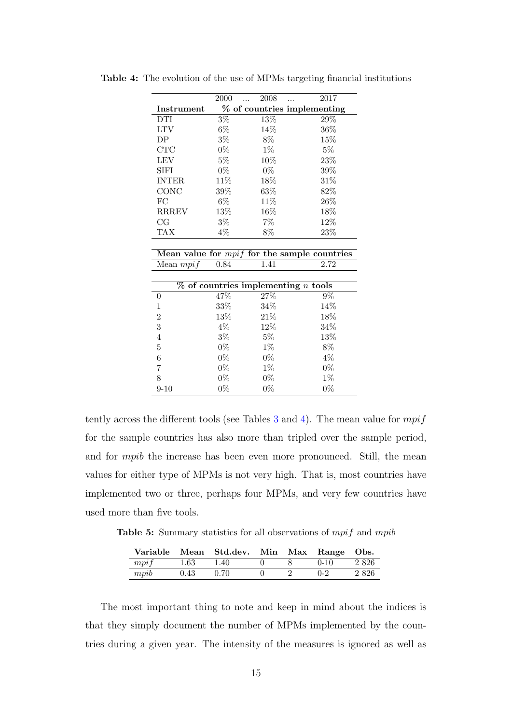|                   | 2000             | 2008  | 2017                        |
|-------------------|------------------|-------|-----------------------------|
| <b>Instrument</b> |                  |       | % of countries implementing |
| <b>DTI</b>        | $\overline{3\%}$ | 13%   | 29%                         |
| LTV               | 6%               | 14%   | 36%                         |
| DP                | $3\%$            | 8%    | 15%                         |
| <b>CTC</b>        | $0\%$            | $1\%$ | $5\%$                       |
| LEV               | $5\%$            | 10%   | 23%                         |
| <b>SIFI</b>       | $0\%$            | $0\%$ | 39%                         |
| <b>INTER</b>      | 11\%             | 18%   | 31%                         |
| CONC              | 39%              | 63%   | 82\%                        |
| FC                | $6\%$            | 11\%  | 26%                         |
| <b>RRREV</b>      | 13%              | 16%   | 18%                         |
| CG                | $3\%$            | $7\%$ | 12%                         |
| TAX               | $4\%$            | 8%    | 23\%                        |

<span id="page-17-0"></span>Table 4: The evolution of the use of MPMs targeting financial institutions

|                   |        | Mean value for $mpi$ for the sample countries |
|-------------------|--------|-----------------------------------------------|
| Mean $mpi f$ 0.84 | - 1.41 | 2.72                                          |

|                | $\%$ of countries implementing <i>n</i> tools |        |       |
|----------------|-----------------------------------------------|--------|-------|
| 0              | 47%                                           | $27\%$ | $9\%$ |
| 1              | 33%                                           | 34\%   | 14%   |
| 2              | 13%                                           | 21%    | 18%   |
| 3              | $4\%$                                         | 12\%   | 34\%  |
| $\overline{4}$ | $3\%$                                         | $5\%$  | 13%   |
| 5              | $0\%$                                         | $1\%$  | 8%    |
| 6              | $0\%$                                         | $0\%$  | 4%    |
| 7              | $0\%$                                         | $1\%$  | $0\%$ |
| 8              | $0\%$                                         | $0\%$  | $1\%$ |
| $9-10$         | $0\%$                                         | $0\%$  | $0\%$ |

tently across the different tools (see Tables [3](#page-16-1) and [4\)](#page-17-0). The mean value for  $mpi$ for the sample countries has also more than tripled over the sample period, and for mpib the increase has been even more pronounced. Still, the mean values for either type of MPMs is not very high. That is, most countries have implemented two or three, perhaps four MPMs, and very few countries have used more than five tools.

<span id="page-17-1"></span>Table 5: Summary statistics for all observations of *mpif* and *mpib* 

|      |      | Variable Mean Std.dev. Min Max Range Obs. |  |          |         |
|------|------|-------------------------------------------|--|----------|---------|
| mpi  | 1.63 | 1.40                                      |  | $0 - 10$ | 2 8 2 6 |
| mpib | 0.43 | 0.70                                      |  | $0 - 2$  | 2 8 2 6 |

The most important thing to note and keep in mind about the indices is that they simply document the number of MPMs implemented by the countries during a given year. The intensity of the measures is ignored as well as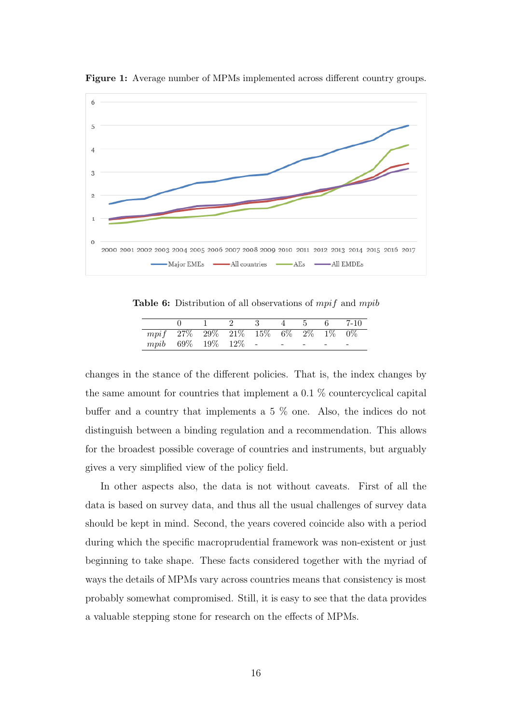

<span id="page-18-0"></span>Figure 1: Average number of MPMs implemented across different country groups.

<span id="page-18-1"></span>Table 6: Distribution of all observations of *mpif* and *mpib* 

|                                    |  | $0 \t 1 \t 2 \t 3 \t 4 \t 5 \t 6 \t 7-10$ |  |  |
|------------------------------------|--|-------------------------------------------|--|--|
| $mpif$ 27% 29% 21% 15% 6% 2% 1% 0% |  |                                           |  |  |
| $mpib$ 69\% 19\% 12\% - - - - - -  |  |                                           |  |  |

changes in the stance of the different policies. That is, the index changes by the same amount for countries that implement a  $0.1\%$  countercyclical capital buffer and a country that implements a 5 % one. Also, the indices do not distinguish between a binding regulation and a recommendation. This allows for the broadest possible coverage of countries and instruments, but arguably gives a very simplified view of the policy field.

In other aspects also, the data is not without caveats. First of all the data is based on survey data, and thus all the usual challenges of survey data should be kept in mind. Second, the years covered coincide also with a period during which the specific macroprudential framework was non-existent or just beginning to take shape. These facts considered together with the myriad of ways the details of MPMs vary across countries means that consistency is most probably somewhat compromised. Still, it is easy to see that the data provides a valuable stepping stone for research on the effects of MPMs.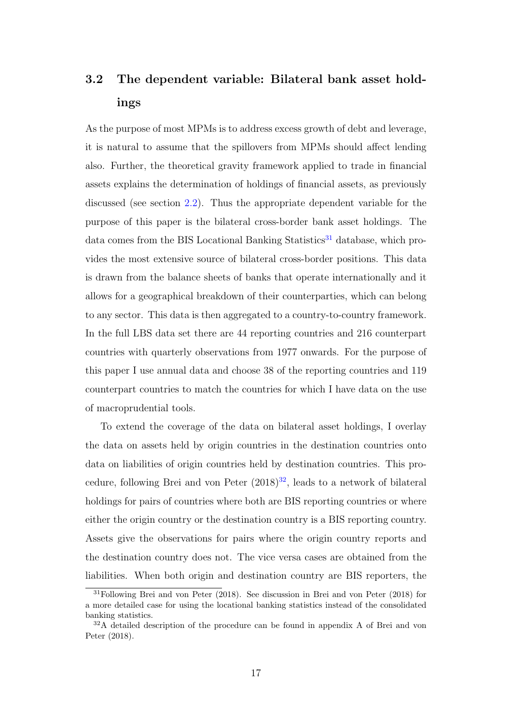## <span id="page-19-0"></span>3.2 The dependent variable: Bilateral bank asset holdings

As the purpose of most MPMs is to address excess growth of debt and leverage, it is natural to assume that the spillovers from MPMs should affect lending also. Further, the theoretical gravity framework applied to trade in financial assets explains the determination of holdings of financial assets, as previously discussed (see section [2.2\)](#page-10-0). Thus the appropriate dependent variable for the purpose of this paper is the bilateral cross-border bank asset holdings. The data comes from the BIS Locational Banking Statistics<sup>[31](#page-19-1)</sup> database, which provides the most extensive source of bilateral cross-border positions. This data is drawn from the balance sheets of banks that operate internationally and it allows for a geographical breakdown of their counterparties, which can belong to any sector. This data is then aggregated to a country-to-country framework. In the full LBS data set there are 44 reporting countries and 216 counterpart countries with quarterly observations from 1977 onwards. For the purpose of this paper I use annual data and choose 38 of the reporting countries and 119 counterpart countries to match the countries for which I have data on the use of macroprudential tools.

To extend the coverage of the data on bilateral asset holdings, I overlay the data on assets held by origin countries in the destination countries onto data on liabilities of origin countries held by destination countries. This procedure, following Brei and von Peter  $(2018)^{32}$  $(2018)^{32}$  $(2018)^{32}$ , leads to a network of bilateral holdings for pairs of countries where both are BIS reporting countries or where either the origin country or the destination country is a BIS reporting country. Assets give the observations for pairs where the origin country reports and the destination country does not. The vice versa cases are obtained from the liabilities. When both origin and destination country are BIS reporters, the

<span id="page-19-1"></span><sup>31</sup>Following Brei and von Peter (2018). See discussion in Brei and von Peter (2018) for a more detailed case for using the locational banking statistics instead of the consolidated banking statistics.

<span id="page-19-2"></span><sup>32</sup>A detailed description of the procedure can be found in appendix A of Brei and von Peter (2018).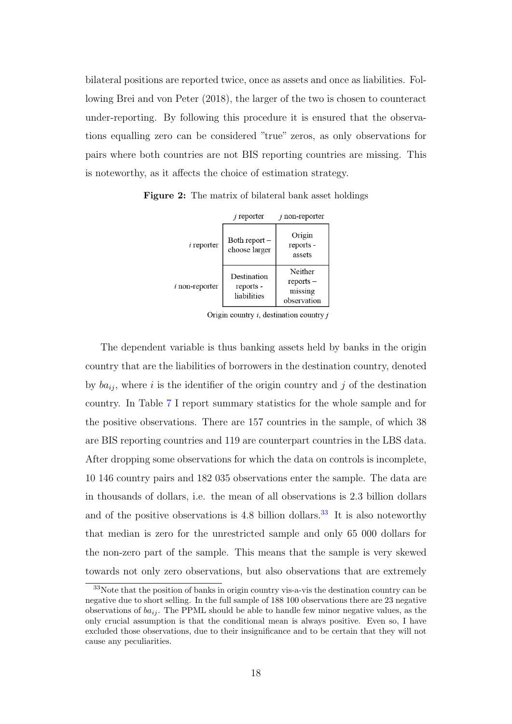bilateral positions are reported twice, once as assets and once as liabilities. Following Brei and von Peter (2018), the larger of the two is chosen to counteract under-reporting. By following this procedure it is ensured that the observations equalling zero can be considered "true" zeros, as only observations for pairs where both countries are not BIS reporting countries are missing. This is noteworthy, as it affects the choice of estimation strategy.

 $j$  non-reporter  $j$  reporter Origin Both report $i$  reporter reports choose larger assets Neither Destination  $reports$  $i$  non-reporter reports missing liabilities observation

<span id="page-20-0"></span>Figure 2: The matrix of bilateral bank asset holdings

Origin country  $i$ , destination country  $j$ 

The dependent variable is thus banking assets held by banks in the origin country that are the liabilities of borrowers in the destination country, denoted by  $ba_{ij}$ , where i is the identifier of the origin country and j of the destination country. In Table [7](#page-21-1) I report summary statistics for the whole sample and for the positive observations. There are 157 countries in the sample, of which 38 are BIS reporting countries and 119 are counterpart countries in the LBS data. After dropping some observations for which the data on controls is incomplete, 10 146 country pairs and 182 035 observations enter the sample. The data are in thousands of dollars, i.e. the mean of all observations is 2.3 billion dollars and of the positive observations is 4.8 billion dollars.<sup>[33](#page-20-1)</sup> It is also noteworthy that median is zero for the unrestricted sample and only 65 000 dollars for the non-zero part of the sample. This means that the sample is very skewed towards not only zero observations, but also observations that are extremely

<span id="page-20-1"></span><sup>33</sup>Note that the position of banks in origin country vis-a-vis the destination country can be negative due to short selling. In the full sample of 188 100 observations there are 23 negative observations of  $ba_{ij}$ . The PPML should be able to handle few minor negative values, as the only crucial assumption is that the conditional mean is always positive. Even so, I have excluded those observations, due to their insignificance and to be certain that they will not cause any peculiarities.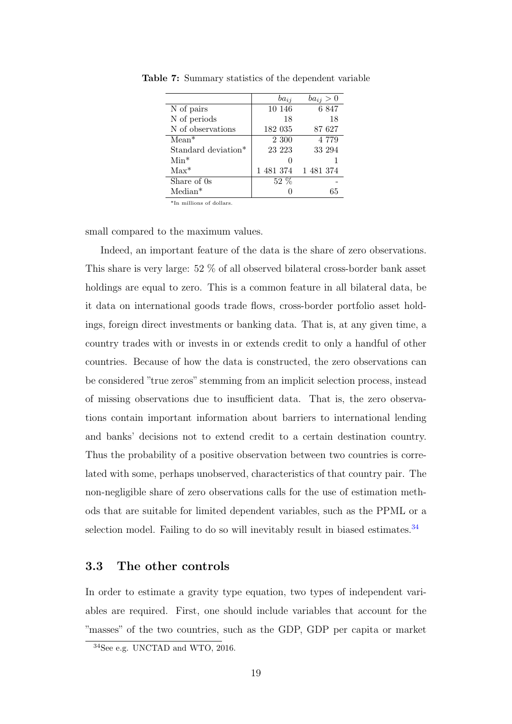|                     | $ba_{ij}$ | $ba_{ij} > 0$ |
|---------------------|-----------|---------------|
| N of pairs          | 10 146    | 6847          |
| N of periods        | 18        | 18            |
| N of observations   | 182 035   | 87 627        |
| $Mean*$             | 2 300     | 4 7 7 9       |
| Standard deviation* | 23 223    | 33 294        |
| $Min*$              |           |               |
| $Max^*$             | 1481374   | 1481374       |
| Share of 0s         | $52\%$    |               |
| $Median*$           |           | 65            |

<span id="page-21-1"></span>Table 7: Summary statistics of the dependent variable

\*In millions of dollars.

small compared to the maximum values.

Indeed, an important feature of the data is the share of zero observations. This share is very large: 52 % of all observed bilateral cross-border bank asset holdings are equal to zero. This is a common feature in all bilateral data, be it data on international goods trade flows, cross-border portfolio asset holdings, foreign direct investments or banking data. That is, at any given time, a country trades with or invests in or extends credit to only a handful of other countries. Because of how the data is constructed, the zero observations can be considered "true zeros" stemming from an implicit selection process, instead of missing observations due to insufficient data. That is, the zero observations contain important information about barriers to international lending and banks' decisions not to extend credit to a certain destination country. Thus the probability of a positive observation between two countries is correlated with some, perhaps unobserved, characteristics of that country pair. The non-negligible share of zero observations calls for the use of estimation methods that are suitable for limited dependent variables, such as the PPML or a selection model. Failing to do so will inevitably result in biased estimates.<sup>[34](#page-21-2)</sup>

#### <span id="page-21-0"></span>3.3 The other controls

In order to estimate a gravity type equation, two types of independent variables are required. First, one should include variables that account for the "masses" of the two countries, such as the GDP, GDP per capita or market

<span id="page-21-2"></span><sup>34</sup>See e.g. UNCTAD and WTO, 2016.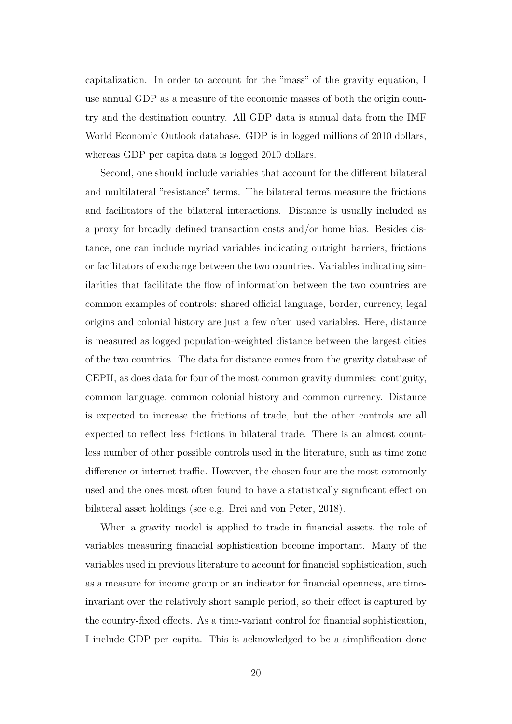capitalization. In order to account for the "mass" of the gravity equation, I use annual GDP as a measure of the economic masses of both the origin country and the destination country. All GDP data is annual data from the IMF World Economic Outlook database. GDP is in logged millions of 2010 dollars, whereas GDP per capita data is logged 2010 dollars.

Second, one should include variables that account for the different bilateral and multilateral "resistance" terms. The bilateral terms measure the frictions and facilitators of the bilateral interactions. Distance is usually included as a proxy for broadly defined transaction costs and/or home bias. Besides distance, one can include myriad variables indicating outright barriers, frictions or facilitators of exchange between the two countries. Variables indicating similarities that facilitate the flow of information between the two countries are common examples of controls: shared official language, border, currency, legal origins and colonial history are just a few often used variables. Here, distance is measured as logged population-weighted distance between the largest cities of the two countries. The data for distance comes from the gravity database of CEPII, as does data for four of the most common gravity dummies: contiguity, common language, common colonial history and common currency. Distance is expected to increase the frictions of trade, but the other controls are all expected to reflect less frictions in bilateral trade. There is an almost countless number of other possible controls used in the literature, such as time zone difference or internet traffic. However, the chosen four are the most commonly used and the ones most often found to have a statistically significant effect on bilateral asset holdings (see e.g. Brei and von Peter, 2018).

When a gravity model is applied to trade in financial assets, the role of variables measuring financial sophistication become important. Many of the variables used in previous literature to account for financial sophistication, such as a measure for income group or an indicator for financial openness, are timeinvariant over the relatively short sample period, so their effect is captured by the country-fixed effects. As a time-variant control for financial sophistication, I include GDP per capita. This is acknowledged to be a simplification done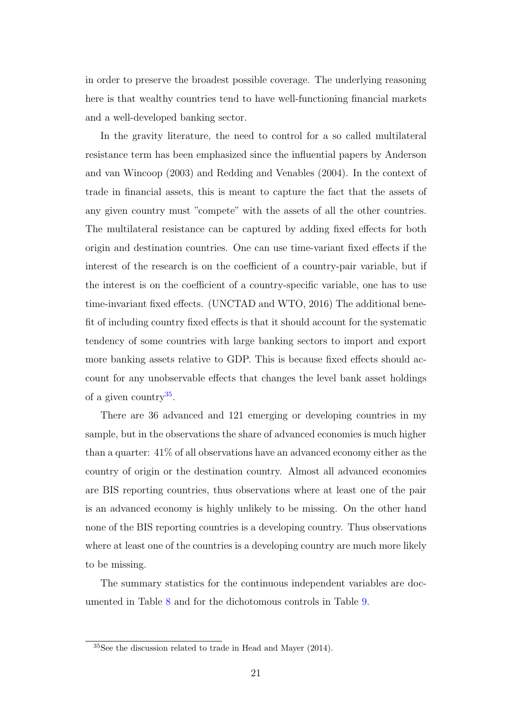in order to preserve the broadest possible coverage. The underlying reasoning here is that wealthy countries tend to have well-functioning financial markets and a well-developed banking sector.

In the gravity literature, the need to control for a so called multilateral resistance term has been emphasized since the influential papers by Anderson and van Wincoop (2003) and Redding and Venables (2004). In the context of trade in financial assets, this is meant to capture the fact that the assets of any given country must "compete" with the assets of all the other countries. The multilateral resistance can be captured by adding fixed effects for both origin and destination countries. One can use time-variant fixed effects if the interest of the research is on the coefficient of a country-pair variable, but if the interest is on the coefficient of a country-specific variable, one has to use time-invariant fixed effects. (UNCTAD and WTO, 2016) The additional benefit of including country fixed effects is that it should account for the systematic tendency of some countries with large banking sectors to import and export more banking assets relative to GDP. This is because fixed effects should account for any unobservable effects that changes the level bank asset holdings of a given country<sup>[35](#page-23-0)</sup>.

There are 36 advanced and 121 emerging or developing countries in my sample, but in the observations the share of advanced economies is much higher than a quarter: 41% of all observations have an advanced economy either as the country of origin or the destination country. Almost all advanced economies are BIS reporting countries, thus observations where at least one of the pair is an advanced economy is highly unlikely to be missing. On the other hand none of the BIS reporting countries is a developing country. Thus observations where at least one of the countries is a developing country are much more likely to be missing.

The summary statistics for the continuous independent variables are documented in Table [8](#page-24-0) and for the dichotomous controls in Table [9.](#page-24-1)

<span id="page-23-0"></span><sup>35</sup>See the discussion related to trade in Head and Mayer (2014).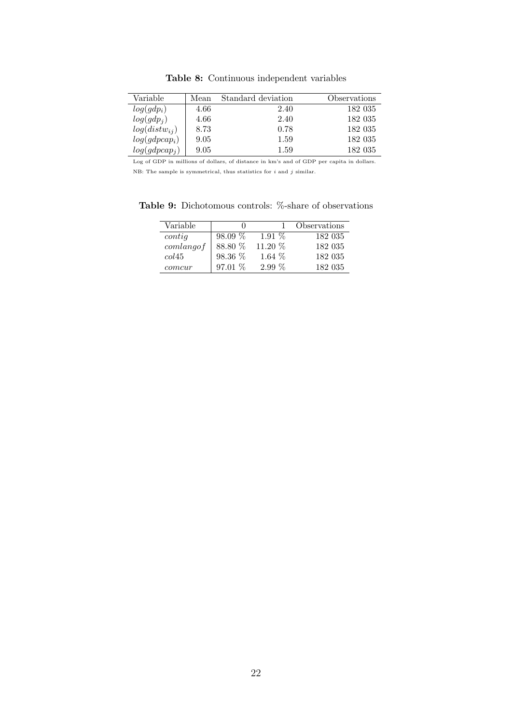<span id="page-24-0"></span>

| Variable          | Mean | Standard deviation | Observations |
|-------------------|------|--------------------|--------------|
| $log(gdp_i)$      | 4.66 | 2.40               | 182 035      |
| $log(gdp_i)$      | 4.66 | 2.40               | 182 035      |
| $log(distw_{ij})$ | 8.73 | 0.78               | 182 035      |
| $log(gdpcap_i)$   | 9.05 | 1.59               | 182 035      |
| $log(gdpcap_j)$   | 9.05 | 1.59               | 182 035      |

Table 8: Continuous independent variables

Log of GDP in millions of dollars, of distance in km's and of GDP per capita in dollars. NB: The sample is symmetrical, thus statistics for  $i$  and  $j$  similar.

<span id="page-24-1"></span>Table 9: Dichotomous controls: %-share of observations

| Variable        |            |          | Observations |
|-----------------|------------|----------|--------------|
| $\text{contig}$ | 98.09 %    | $1.91\%$ | 182 035      |
| comlang of      | 88.80 %    | 11.20 %  | 182 035      |
| col45           | $98.36~\%$ | 1.64 $%$ | 182 035      |
| comcur          | 97.01 %    | $2.99\%$ | 182 035      |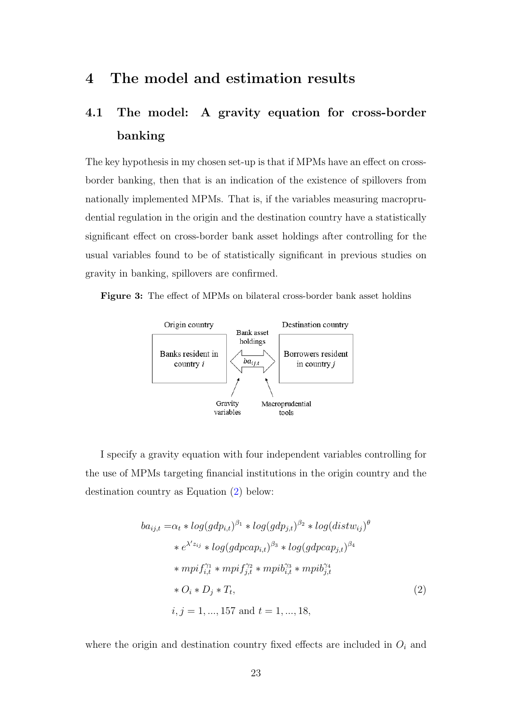### <span id="page-25-0"></span>4 The model and estimation results

## <span id="page-25-1"></span>4.1 The model: A gravity equation for cross-border banking

The key hypothesis in my chosen set-up is that if MPMs have an effect on crossborder banking, then that is an indication of the existence of spillovers from nationally implemented MPMs. That is, if the variables measuring macroprudential regulation in the origin and the destination country have a statistically significant effect on cross-border bank asset holdings after controlling for the usual variables found to be of statistically significant in previous studies on gravity in banking, spillovers are confirmed.

<span id="page-25-2"></span>Figure 3: The effect of MPMs on bilateral cross-border bank asset holdins



I specify a gravity equation with four independent variables controlling for the use of MPMs targeting financial institutions in the origin country and the destination country as Equation [\(2\)](#page-25-3) below:

<span id="page-25-3"></span>
$$
ba_{ij,t} = \alpha_t * log(gdp_{i,t})^{\beta_1} * log(gdp_{j,t})^{\beta_2} * log(distw_{ij})^{\theta}
$$
  
\n
$$
* e^{\lambda'z_{ij}} * log(gdpcap_{i,t})^{\beta_3} * log(gdpcap_{j,t})^{\beta_4}
$$
  
\n
$$
* mpif_{i,t}^{\gamma_1} * mpif_{j,t}^{\gamma_2} * mpib_{i,t}^{\gamma_3} * mpib_{j,t}^{\gamma_4}
$$
  
\n
$$
* O_i * D_j * T_t,
$$
  
\n
$$
i, j = 1, ..., 157 \text{ and } t = 1, ..., 18,
$$
  
\n(2)

where the origin and destination country fixed effects are included in  $O_i$  and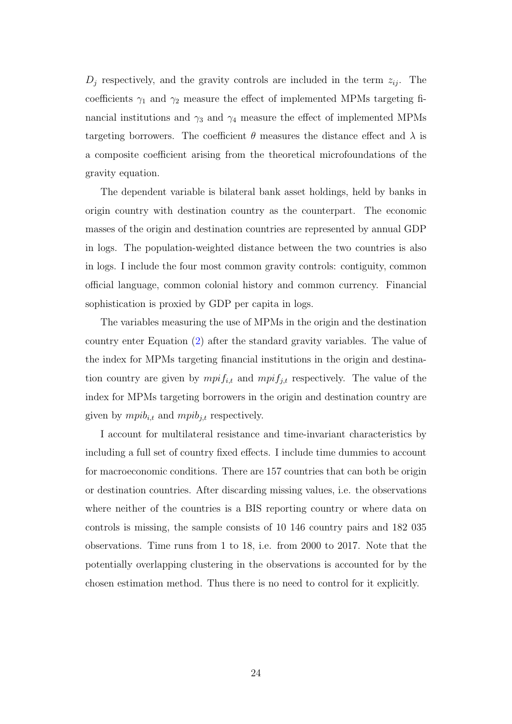$D_j$  respectively, and the gravity controls are included in the term  $z_{ij}$ . The coefficients  $\gamma_1$  and  $\gamma_2$  measure the effect of implemented MPMs targeting financial institutions and  $\gamma_3$  and  $\gamma_4$  measure the effect of implemented MPMs targeting borrowers. The coefficient  $\theta$  measures the distance effect and  $\lambda$  is a composite coefficient arising from the theoretical microfoundations of the gravity equation.

The dependent variable is bilateral bank asset holdings, held by banks in origin country with destination country as the counterpart. The economic masses of the origin and destination countries are represented by annual GDP in logs. The population-weighted distance between the two countries is also in logs. I include the four most common gravity controls: contiguity, common official language, common colonial history and common currency. Financial sophistication is proxied by GDP per capita in logs.

The variables measuring the use of MPMs in the origin and the destination country enter Equation [\(2\)](#page-25-3) after the standard gravity variables. The value of the index for MPMs targeting financial institutions in the origin and destination country are given by  $mpi_{i,t}$  and  $mpi_{j,t}$  respectively. The value of the index for MPMs targeting borrowers in the origin and destination country are given by  $mpi_{i,t}$  and  $mpi_{j,t}$  respectively.

I account for multilateral resistance and time-invariant characteristics by including a full set of country fixed effects. I include time dummies to account for macroeconomic conditions. There are 157 countries that can both be origin or destination countries. After discarding missing values, i.e. the observations where neither of the countries is a BIS reporting country or where data on controls is missing, the sample consists of 10 146 country pairs and 182 035 observations. Time runs from 1 to 18, i.e. from 2000 to 2017. Note that the potentially overlapping clustering in the observations is accounted for by the chosen estimation method. Thus there is no need to control for it explicitly.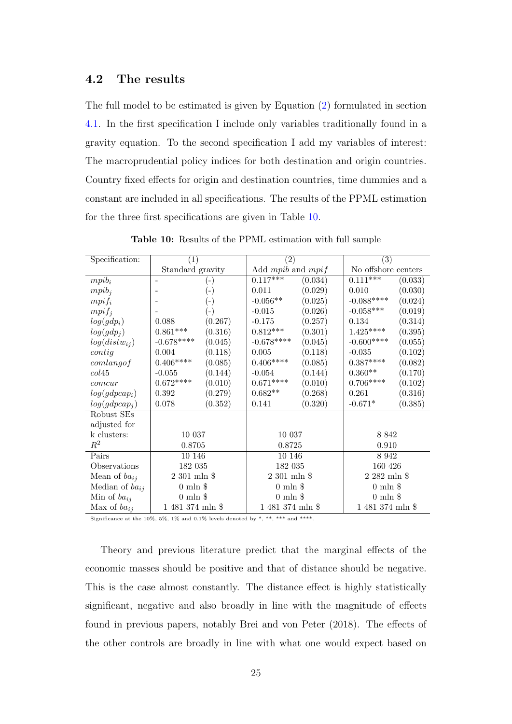#### <span id="page-27-0"></span>4.2 The results

The full model to be estimated is given by Equation [\(2\)](#page-25-3) formulated in section [4.1.](#page-25-1) In the first specification I include only variables traditionally found in a gravity equation. To the second specification I add my variables of interest: The macroprudential policy indices for both destination and origin countries. Country fixed effects for origin and destination countries, time dummies and a constant are included in all specifications. The results of the PPML estimation for the three first specifications are given in Table [10.](#page-27-1)

<span id="page-27-1"></span>

| Specification:      | (1)                 |                    | (2)                   |         | (3)                 |         |
|---------------------|---------------------|--------------------|-----------------------|---------|---------------------|---------|
|                     | Standard gravity    |                    | Add $mpi$ and $mpi$   |         | No offshore centers |         |
| $mpi_i$             |                     | ( – )              | $0.1\overline{17***}$ | (0.034) | $0.111***$          | (0.033) |
| $mpi_i$             |                     | $(\textnormal{-})$ | 0.011                 | (0.029) | 0.010               | (0.030) |
| $mpi f_i$           |                     | $(\textnormal{-})$ | $-0.056**$            | (0.025) | $-0.088***$         | (0.024) |
| $mpi f_i$           |                     | $(\textnormal{-})$ | $-0.015$              | (0.026) | $-0.058***$         | (0.019) |
| $log(gdp_i)$        | 0.088               | (0.267)            | $-0.175$              | (0.257) | 0.134               | (0.314) |
| $log(gdp_i)$        | $0.861***$          | (0.316)            | $0.812^{***}\,$       | (0.301) | $1.425***$          | (0.395) |
| $log(distw_{ij})$   | $-0.678***$         | (0.045)            | $-0.678***$           | (0.045) | $-0.600***$ **      | (0.055) |
| $\text{contig}$     | 0.004               | (0.118)            | 0.005                 | (0.118) | $-0.035$            | (0.102) |
| comlang of          | $0.406^{***\ast}$   | (0.085)            | $0.406***$            | (0.085) | $0.387^{***}$       | (0.082) |
| col45               | $-0.055$            | (0.144)            | $-0.054$              | (0.144) | $0.360^{\ast\ast}$  | (0.170) |
| comcur              | $0.672^{***}$       | (0.010)            | $0.671***$            | (0.010) | $0.706***$          | (0.102) |
| $log(gdpcap_i)$     | 0.392               | (0.279)            | $0.682**$             | (0.268) | 0.261               | (0.316) |
| $log(gdpcap_i)$     | 0.078               | (0.352)            | 0.141                 | (0.320) | $-0.671*$           | (0.385) |
| Robust SEs          |                     |                    |                       |         |                     |         |
| adjusted for        |                     |                    |                       |         |                     |         |
| k clusters:         | 10 037              |                    | 10 037                |         | 8 8 4 2             |         |
| $\,R^2$             | 0.8705              |                    | 0.8725                |         | 0.910               |         |
| Pairs               | 10 146              |                    | 10 146                |         | 8 9 4 2             |         |
| Observations        | 182 035             |                    | 182 035               |         | 160 426             |         |
| Mean of $ba_{ij}$   | $2\ 301$ mln $\$$   |                    | $2301$ mln $$$        |         | $2\ 282$ mln $\$$   |         |
| Median of $ba_{ij}$ | $0 \text{ min }$ \$ |                    | $0 \text{ min }$ \$   |         | $0 \text{ min } $$  |         |
| Min of $ba_{ij}$    | $0 \text{ min } $$  |                    | $0 \text{ min } $$    |         | $0 \text{ min }$ \$ |         |
| Max of $ba_{ij}$    | 1 481 374 mln \$    |                    | 1 481 374 mln \$      |         | 1 481 374 mln \$    |         |

Table 10: Results of the PPML estimation with full sample

Significance at the 10%, 5%, 1% and 0.1% levels denoted by \*, \*\*, \*\*\* and \*\*\*\*.

Theory and previous literature predict that the marginal effects of the economic masses should be positive and that of distance should be negative. This is the case almost constantly. The distance effect is highly statistically significant, negative and also broadly in line with the magnitude of effects found in previous papers, notably Brei and von Peter (2018). The effects of the other controls are broadly in line with what one would expect based on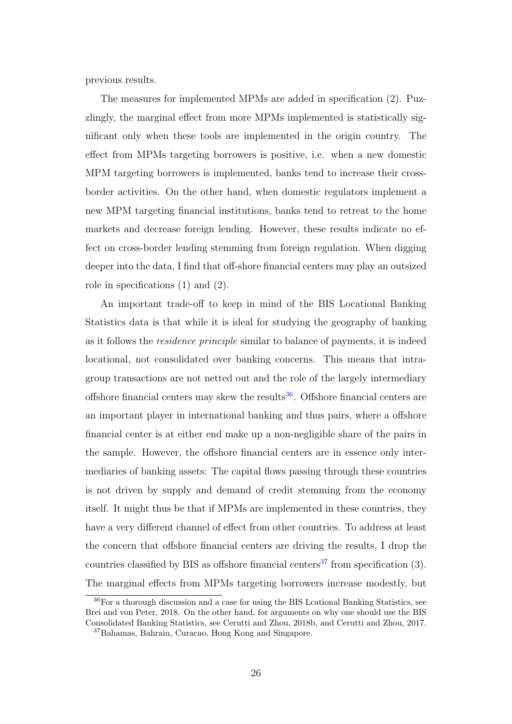previous results.

The measures for implemented MPMs are added in specification (2). Puzzlingly, the marginal effect from more MPMs implemented is statistically significant only when these tools are implemented in the origin country. The effect from MPMs targeting borrowers is positive, i.e. when a new domestic MPM targeting borrowers is implemented, banks tend to increase their crossborder activities. On the other hand, when domestic regulators implement a new MPM targeting financial institutions, banks tend to retreat to the home markets and decrease foreign lending. However, these results indicate no effect on cross-border lending stemming from foreign regulation. When digging deeper into the data, I find that off-shore financial centers may play an outsized role in specifications (1) and (2).

An important trade-off to keep in mind of the BIS Locational Banking Statistics data is that while it is ideal for studying the geography of banking as it follows the residence principle similar to balance of payments, it is indeed locational, not consolidated over banking concerns. This means that intragroup transactions are not netted out and the role of the largely intermediary offshore financial centers may skew the results<sup>[36](#page-28-0)</sup>. Offshore financial centers are an important player in international banking and thus pairs, where a offshore financial center is at either end make up a non-negligible share of the pairs in the sample. However, the offshore financial centers are in essence only intermediaries of banking assets: The capital flows passing through these countries is not driven by supply and demand of credit stemming from the economy itself. It might thus be that if MPMs are implemented in these countries, they have a very different channel of effect from other countries. To address at least the concern that offshore financial centers are driving the results, I drop the countries classified by BIS as offshore financial centers<sup>[37](#page-28-1)</sup> from specification  $(3)$ . The marginal effects from MPMs targeting borrowers increase modestly, but

<span id="page-28-0"></span><sup>36</sup>For a thorough discussion and a case for using the BIS Lcational Banking Statistics, see Brei and von Peter, 2018. On the other hand, for arguments on why one should use the BIS Consolidated Banking Statistics, see Cerutti and Zhou, 2018b, and Cerutti and Zhou, 2017.

<span id="page-28-1"></span><sup>37</sup>Bahamas, Bahrain, Curacao, Hong Kong and Singapore.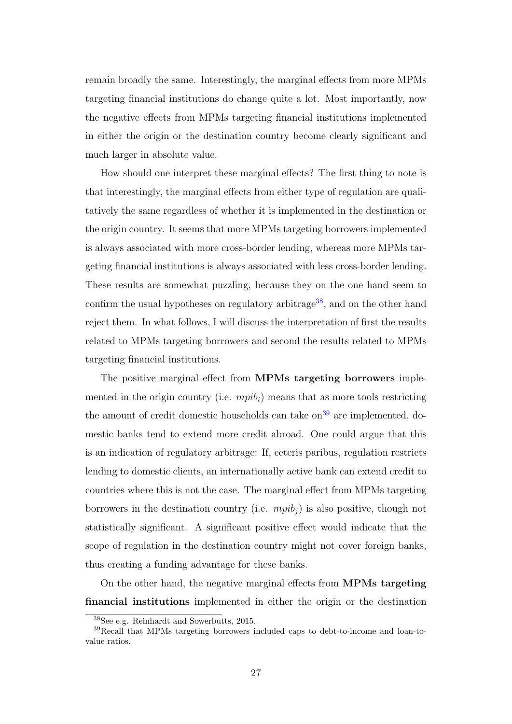remain broadly the same. Interestingly, the marginal effects from more MPMs targeting financial institutions do change quite a lot. Most importantly, now the negative effects from MPMs targeting financial institutions implemented in either the origin or the destination country become clearly significant and much larger in absolute value.

How should one interpret these marginal effects? The first thing to note is that interestingly, the marginal effects from either type of regulation are qualitatively the same regardless of whether it is implemented in the destination or the origin country. It seems that more MPMs targeting borrowers implemented is always associated with more cross-border lending, whereas more MPMs targeting financial institutions is always associated with less cross-border lending. These results are somewhat puzzling, because they on the one hand seem to confirm the usual hypotheses on regulatory arbitrage<sup>[38](#page-29-0)</sup>, and on the other hand reject them. In what follows, I will discuss the interpretation of first the results related to MPMs targeting borrowers and second the results related to MPMs targeting financial institutions.

The positive marginal effect from MPMs targeting borrowers implemented in the origin country (i.e.  $mpib<sub>i</sub>$ ) means that as more tools restricting the amount of credit domestic households can take  $\text{on}^{39}$  $\text{on}^{39}$  $\text{on}^{39}$  are implemented, domestic banks tend to extend more credit abroad. One could argue that this is an indication of regulatory arbitrage: If, ceteris paribus, regulation restricts lending to domestic clients, an internationally active bank can extend credit to countries where this is not the case. The marginal effect from MPMs targeting borrowers in the destination country (i.e.  $mpib<sub>i</sub>$ ) is also positive, though not statistically significant. A significant positive effect would indicate that the scope of regulation in the destination country might not cover foreign banks, thus creating a funding advantage for these banks.

On the other hand, the negative marginal effects from MPMs targeting financial institutions implemented in either the origin or the destination

<span id="page-29-1"></span><span id="page-29-0"></span><sup>38</sup>See e.g. Reinhardt and Sowerbutts, 2015.

<sup>39</sup>Recall that MPMs targeting borrowers included caps to debt-to-income and loan-tovalue ratios.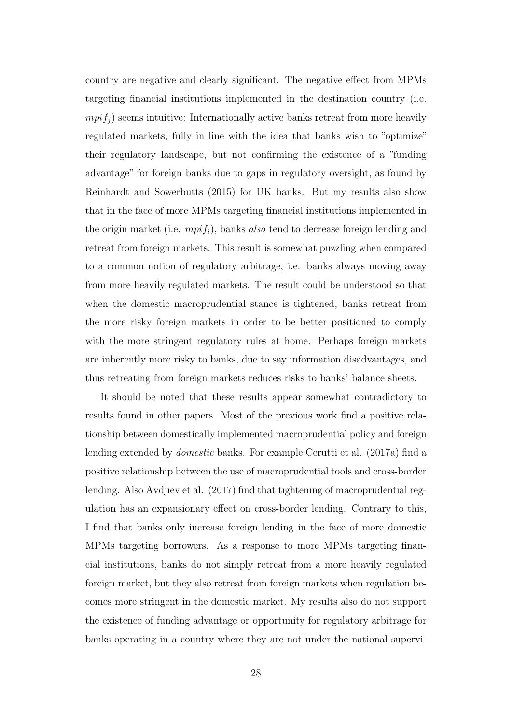country are negative and clearly significant. The negative effect from MPMs targeting financial institutions implemented in the destination country (i.e.  $mpif<sub>j</sub>$  seems intuitive: Internationally active banks retreat from more heavily regulated markets, fully in line with the idea that banks wish to "optimize" their regulatory landscape, but not confirming the existence of a "funding advantage" for foreign banks due to gaps in regulatory oversight, as found by Reinhardt and Sowerbutts (2015) for UK banks. But my results also show that in the face of more MPMs targeting financial institutions implemented in the origin market (i.e.  $mpi_j$ ), banks also tend to decrease foreign lending and retreat from foreign markets. This result is somewhat puzzling when compared to a common notion of regulatory arbitrage, i.e. banks always moving away from more heavily regulated markets. The result could be understood so that when the domestic macroprudential stance is tightened, banks retreat from the more risky foreign markets in order to be better positioned to comply with the more stringent regulatory rules at home. Perhaps foreign markets are inherently more risky to banks, due to say information disadvantages, and thus retreating from foreign markets reduces risks to banks' balance sheets.

It should be noted that these results appear somewhat contradictory to results found in other papers. Most of the previous work find a positive relationship between domestically implemented macroprudential policy and foreign lending extended by domestic banks. For example Cerutti et al. (2017a) find a positive relationship between the use of macroprudential tools and cross-border lending. Also Avdjiev et al. (2017) find that tightening of macroprudential regulation has an expansionary effect on cross-border lending. Contrary to this, I find that banks only increase foreign lending in the face of more domestic MPMs targeting borrowers. As a response to more MPMs targeting financial institutions, banks do not simply retreat from a more heavily regulated foreign market, but they also retreat from foreign markets when regulation becomes more stringent in the domestic market. My results also do not support the existence of funding advantage or opportunity for regulatory arbitrage for banks operating in a country where they are not under the national supervi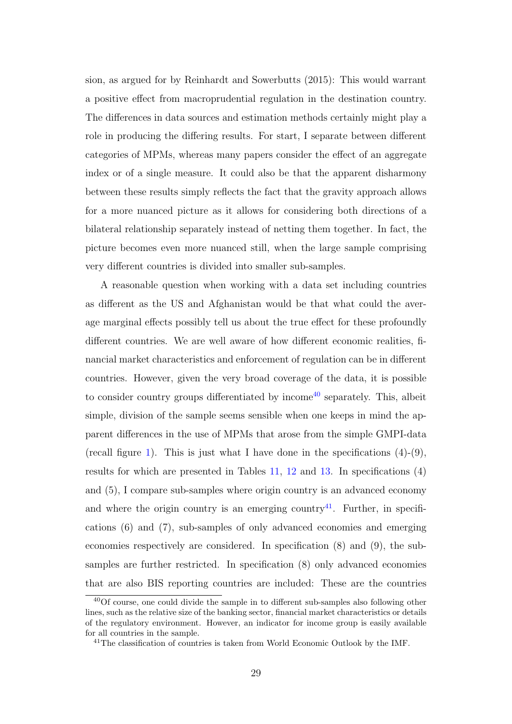sion, as argued for by Reinhardt and Sowerbutts (2015): This would warrant a positive effect from macroprudential regulation in the destination country. The differences in data sources and estimation methods certainly might play a role in producing the differing results. For start, I separate between different categories of MPMs, whereas many papers consider the effect of an aggregate index or of a single measure. It could also be that the apparent disharmony between these results simply reflects the fact that the gravity approach allows for a more nuanced picture as it allows for considering both directions of a bilateral relationship separately instead of netting them together. In fact, the picture becomes even more nuanced still, when the large sample comprising very different countries is divided into smaller sub-samples.

A reasonable question when working with a data set including countries as different as the US and Afghanistan would be that what could the average marginal effects possibly tell us about the true effect for these profoundly different countries. We are well aware of how different economic realities, financial market characteristics and enforcement of regulation can be in different countries. However, given the very broad coverage of the data, it is possible to consider country groups differentiated by income<sup>[40](#page-31-0)</sup> separately. This, albeit simple, division of the sample seems sensible when one keeps in mind the apparent differences in the use of MPMs that arose from the simple GMPI-data (recall figure [1\)](#page-18-0). This is just what I have done in the specifications  $(4)-(9)$ , results for which are presented in Tables [11,](#page-32-0) [12](#page-34-0) and [13.](#page-36-0) In specifications (4) and (5), I compare sub-samples where origin country is an advanced economy and where the origin country is an emerging country<sup>[41](#page-31-1)</sup>. Further, in specifications (6) and (7), sub-samples of only advanced economies and emerging economies respectively are considered. In specification (8) and (9), the subsamples are further restricted. In specification (8) only advanced economies that are also BIS reporting countries are included: These are the countries

<span id="page-31-0"></span><sup>40</sup>Of course, one could divide the sample in to different sub-samples also following other lines, such as the relative size of the banking sector, financial market characteristics or details of the regulatory environment. However, an indicator for income group is easily available for all countries in the sample.

<span id="page-31-1"></span><sup>&</sup>lt;sup>41</sup>The classification of countries is taken from World Economic Outlook by the IMF.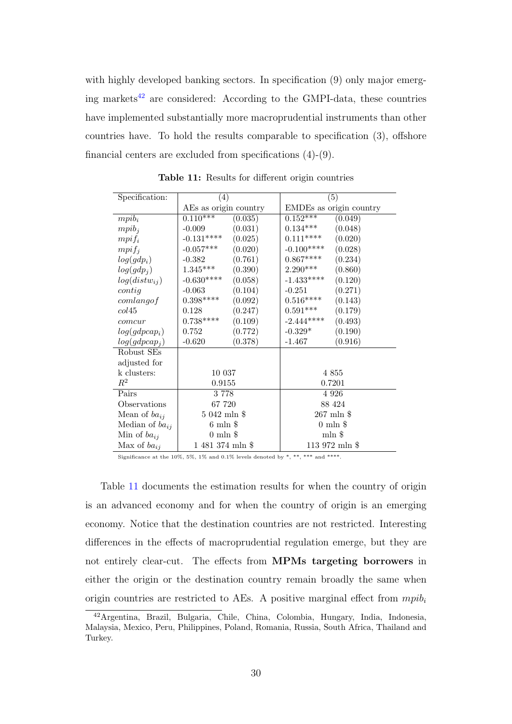with highly developed banking sectors. In specification (9) only major emerg-ing markets<sup>[42](#page-32-1)</sup> are considered: According to the GMPI-data, these countries have implemented substantially more macroprudential instruments than other countries have. To hold the results comparable to specification (3), offshore financial centers are excluded from specifications (4)-(9).

<span id="page-32-0"></span>

| Specification:            | (4)                    | (5)                          |  |  |
|---------------------------|------------------------|------------------------------|--|--|
|                           | AEs as origin country  | EMDEs as origin country      |  |  |
| $mpi_i$                   | $0.110***$<br>(0.035)  | $0.152***$<br>(0.049)        |  |  |
| $mpi_i$                   | (0.031)<br>$-0.009$    | (0.048)<br>$0.134***$        |  |  |
| $mpi f_i$                 | $-0.131***$<br>(0.025) | (0.020)<br>$0.111***$        |  |  |
| $mpi f_i$                 | $-0.057***$<br>(0.020) | $-0.100***$<br>(0.028)       |  |  |
| $log(gdp_i)$              | (0.761)<br>$-0.382$    | $0.867***$<br>(0.234)        |  |  |
| $log(gdp_i)$              | $1.345***$<br>(0.390)  | $2.290***$<br>(0.860)        |  |  |
| $log(distw_{ij})$         | $-0.630***$<br>(0.058) | $-1.433***$<br>(0.120)       |  |  |
| $\text{contig}$           | (0.104)<br>$-0.063$    | (0.271)<br>$-0.251$          |  |  |
| comlang of                | $0.398***$<br>(0.092)  | $0.516^{***\ast}$<br>(0.143) |  |  |
| col45                     | (0.247)<br>0.128       | $0.591***$<br>(0.179)        |  |  |
| comcur                    | $0.738***$<br>(0.109)  | $-2.444***$<br>(0.493)       |  |  |
| $log(gdpcap_i)$           | (0.772)<br>0.752       | (0.190)<br>$-0.329*$         |  |  |
| log(gdpcap <sub>i</sub> ) | (0.378)<br>$-0.620$    | (0.916)<br>$-1.467$          |  |  |
| Robust SEs                |                        |                              |  |  |
| adjusted for              |                        |                              |  |  |
| k clusters:               | 10 037                 | 4 8 5 5                      |  |  |
| $R^2$                     | 0.9155                 | 0.7201                       |  |  |
| Pairs                     | 3778                   | 4 9 2 6                      |  |  |
| Observations              | 67 720                 | 88 424                       |  |  |
| Mean of $ba_{ij}$         | $5042$ mln \$          | $267 \text{ mln }$ \$        |  |  |
| Median of $ba_{ij}$       | $6 \text{ mln } $$     | $0 \text{ min }$ \$          |  |  |
| Min of $ba_{ij}$          | $0 \text{ min }$ \$    | $\min$ \$                    |  |  |
| Max of $ba_{ij}$          | 1 481 374 mln \$       | 113 972 mln \$               |  |  |

Table 11: Results for different origin countries

Significance at the 10%, 5%, 1% and 0.1% levels denoted by \*, \*\*\*, \*\*\* and \*\*\*\*.

Table [11](#page-32-0) documents the estimation results for when the country of origin is an advanced economy and for when the country of origin is an emerging economy. Notice that the destination countries are not restricted. Interesting differences in the effects of macroprudential regulation emerge, but they are not entirely clear-cut. The effects from MPMs targeting borrowers in either the origin or the destination country remain broadly the same when origin countries are restricted to AEs. A positive marginal effect from  $mpl_i$ 

<span id="page-32-1"></span><sup>42</sup>Argentina, Brazil, Bulgaria, Chile, China, Colombia, Hungary, India, Indonesia, Malaysia, Mexico, Peru, Philippines, Poland, Romania, Russia, South Africa, Thailand and Turkey.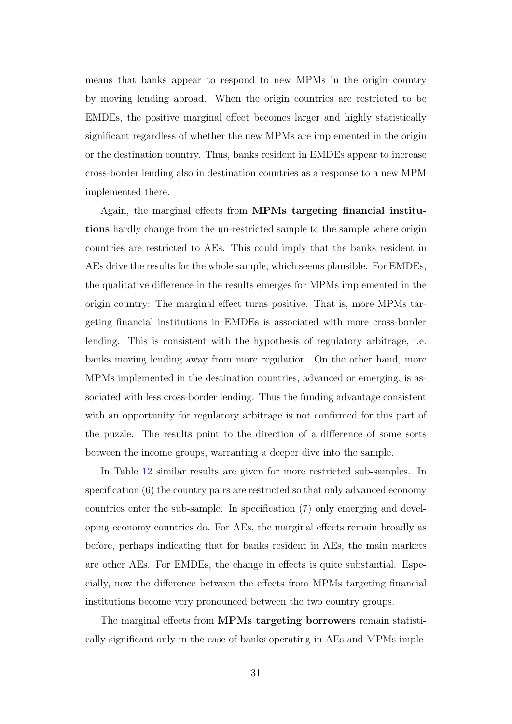means that banks appear to respond to new MPMs in the origin country by moving lending abroad. When the origin countries are restricted to be EMDEs, the positive marginal effect becomes larger and highly statistically significant regardless of whether the new MPMs are implemented in the origin or the destination country. Thus, banks resident in EMDEs appear to increase cross-border lending also in destination countries as a response to a new MPM implemented there.

Again, the marginal effects from MPMs targeting financial institutions hardly change from the un-restricted sample to the sample where origin countries are restricted to AEs. This could imply that the banks resident in AEs drive the results for the whole sample, which seems plausible. For EMDEs, the qualitative difference in the results emerges for MPMs implemented in the origin country: The marginal effect turns positive. That is, more MPMs targeting financial institutions in EMDEs is associated with more cross-border lending. This is consistent with the hypothesis of regulatory arbitrage, i.e. banks moving lending away from more regulation. On the other hand, more MPMs implemented in the destination countries, advanced or emerging, is associated with less cross-border lending. Thus the funding advantage consistent with an opportunity for regulatory arbitrage is not confirmed for this part of the puzzle. The results point to the direction of a difference of some sorts between the income groups, warranting a deeper dive into the sample.

In Table [12](#page-34-0) similar results are given for more restricted sub-samples. In specification (6) the country pairs are restricted so that only advanced economy countries enter the sub-sample. In specification (7) only emerging and developing economy countries do. For AEs, the marginal effects remain broadly as before, perhaps indicating that for banks resident in AEs, the main markets are other AEs. For EMDEs, the change in effects is quite substantial. Especially, now the difference between the effects from MPMs targeting financial institutions become very pronounced between the two country groups.

The marginal effects from **MPMs targeting borrowers** remain statistically significant only in the case of banks operating in AEs and MPMs imple-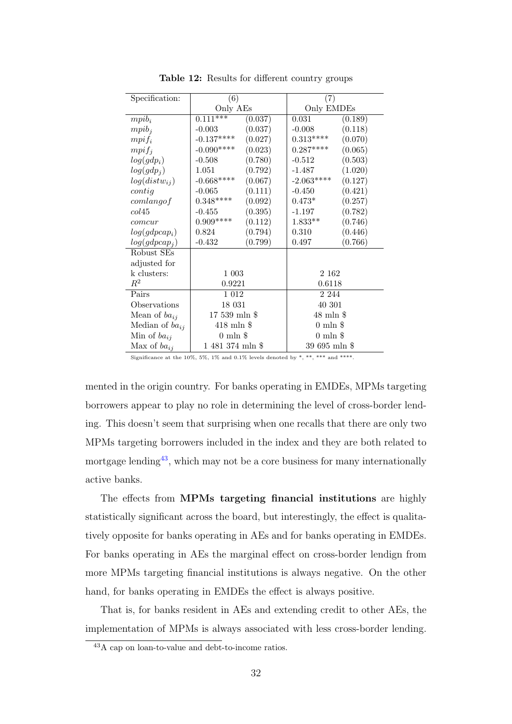<span id="page-34-0"></span>

| Specification:         | (6)                   |         | (7)                  |         |  |
|------------------------|-----------------------|---------|----------------------|---------|--|
|                        | Only AEs              |         | Only EMDEs           |         |  |
| $mpi_i$                | $0.111***$            | (0.037) | 0.031                | (0.189) |  |
| $mpi_i$                | $-0.003$              | (0.037) | $-0.008$             | (0.118) |  |
| $mpi f_i$              | $-0.137***$           | (0.027) | $0.313***$           | (0.070) |  |
| $mpi f_i$              | $-0.090***$           | (0.023) | $0.287***$           | (0.065) |  |
| $log(gdp_i)$           | $-0.508$              | (0.780) | $-0.512$             | (0.503) |  |
| log(gdp <sub>j</sub> ) | 1.051                 | (0.792) | -1.487               | (1.020) |  |
| $log(distw_{ij})$      | $-0.668***$           | (0.067) | $-2.063***$          | (0.127) |  |
| $\text{contig}$        | $-0.065$              | (0.111) | $-0.450$             | (0.421) |  |
| comlang of             | $0.348***$            | (0.092) | $0.473*$             | (0.257) |  |
| col45                  | $-0.455$              | (0.395) | $-1.197$             | (0.782) |  |
| comcur                 | $0.909***$            | (0.112) | $1.833**$            | (0.746) |  |
| $log(gdpcap_i)$        | 0.824                 | (0.794) | 0.310                | (0.446) |  |
| $log(gdpcap_i)$        | $-0.432$              | (0.799) | 0.497                | (0.766) |  |
| Robust SEs             |                       |         |                      |         |  |
| adjusted for           |                       |         |                      |         |  |
| k clusters:            | 1 003                 |         | 2 1 6 2              |         |  |
| $R^2$                  | 0.9221                |         | 0.6118               |         |  |
| Pairs                  | $1\;012$              |         | 2 2 4 4              |         |  |
| Observations           | 18 031                |         | 40 301               |         |  |
| Mean of $ba_{ij}$      | $17539$ mln \$        |         | $48 \text{ mln }$ \$ |         |  |
| Median of $ba_{ij}$    | $418$ mln $\text{\$}$ |         | $0 \text{ min }$ \$  |         |  |
| Min of $ba_{ij}$       | $0 \text{ min }$ \$   |         | $0 \text{ min }$ \$  |         |  |
| Max of $ba_{ij}$       | 1 481 374 mln \$      |         | 39 695 mln \$        |         |  |

Table 12: Results for different country groups

Significance at the 10%, 5%, 1% and 0.1% levels denoted by \*, \*\*, \*\*\* and \*\*\*\*.

mented in the origin country. For banks operating in EMDEs, MPMs targeting borrowers appear to play no role in determining the level of cross-border lending. This doesn't seem that surprising when one recalls that there are only two MPMs targeting borrowers included in the index and they are both related to mortgage lending[43](#page-34-1), which may not be a core business for many internationally active banks.

The effects from MPMs targeting financial institutions are highly statistically significant across the board, but interestingly, the effect is qualitatively opposite for banks operating in AEs and for banks operating in EMDEs. For banks operating in AEs the marginal effect on cross-border lendign from more MPMs targeting financial institutions is always negative. On the other hand, for banks operating in EMDEs the effect is always positive.

That is, for banks resident in AEs and extending credit to other AEs, the implementation of MPMs is always associated with less cross-border lending.

<span id="page-34-1"></span><sup>43</sup>A cap on loan-to-value and debt-to-income ratios.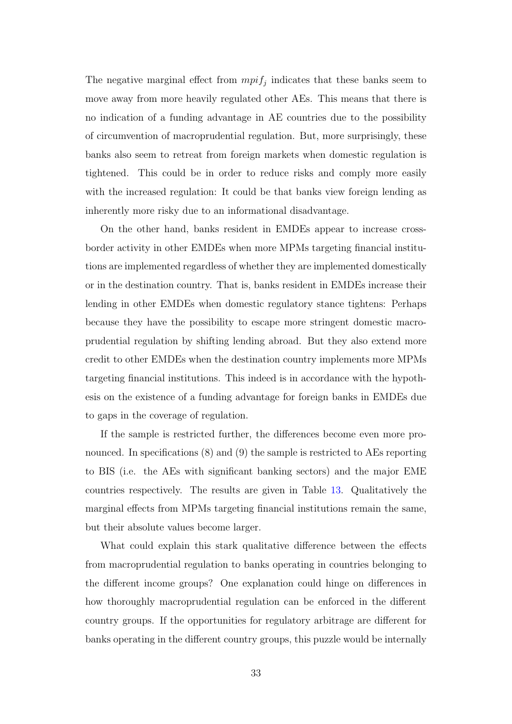The negative marginal effect from  $mpi_j$  indicates that these banks seem to move away from more heavily regulated other AEs. This means that there is no indication of a funding advantage in AE countries due to the possibility of circumvention of macroprudential regulation. But, more surprisingly, these banks also seem to retreat from foreign markets when domestic regulation is tightened. This could be in order to reduce risks and comply more easily with the increased regulation: It could be that banks view foreign lending as inherently more risky due to an informational disadvantage.

On the other hand, banks resident in EMDEs appear to increase crossborder activity in other EMDEs when more MPMs targeting financial institutions are implemented regardless of whether they are implemented domestically or in the destination country. That is, banks resident in EMDEs increase their lending in other EMDEs when domestic regulatory stance tightens: Perhaps because they have the possibility to escape more stringent domestic macroprudential regulation by shifting lending abroad. But they also extend more credit to other EMDEs when the destination country implements more MPMs targeting financial institutions. This indeed is in accordance with the hypothesis on the existence of a funding advantage for foreign banks in EMDEs due to gaps in the coverage of regulation.

If the sample is restricted further, the differences become even more pronounced. In specifications  $(8)$  and  $(9)$  the sample is restricted to AEs reporting to BIS (i.e. the AEs with significant banking sectors) and the major EME countries respectively. The results are given in Table [13.](#page-36-0) Qualitatively the marginal effects from MPMs targeting financial institutions remain the same, but their absolute values become larger.

What could explain this stark qualitative difference between the effects from macroprudential regulation to banks operating in countries belonging to the different income groups? One explanation could hinge on differences in how thoroughly macroprudential regulation can be enforced in the different country groups. If the opportunities for regulatory arbitrage are different for banks operating in the different country groups, this puzzle would be internally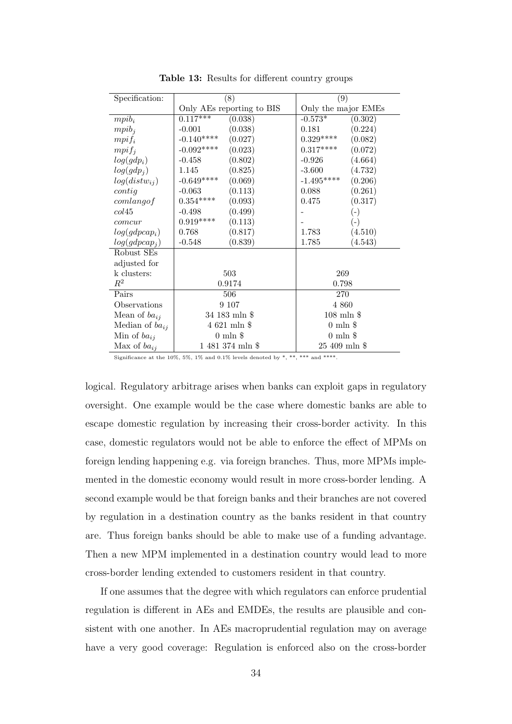<span id="page-36-0"></span>

| Specification:         |                           | $\overline{(8)}$    | (9)                 |              |  |
|------------------------|---------------------------|---------------------|---------------------|--------------|--|
|                        | Only AEs reporting to BIS |                     | Only the major EMEs |              |  |
| $mpi_i$                | $0.117***$                | (0.038)             | $-0.573*$           | (0.302)      |  |
| $mpi_i$                | $-0.001$                  | (0.038)             | 0.181               | (0.224)      |  |
| $mpi f_i$              | $-0.140***$               | (0.027)             | $0.329***$          | (0.082)      |  |
| $mpi f_i$              | $-0.092***$               | (0.023)             | $0.317***$          | (0.072)      |  |
| $log(gdp_i)$           | $-0.458$                  | (0.802)             | $-0.926$            | (4.664)      |  |
| log(gdp <sub>j</sub> ) | 1.145                     | (0.825)             | $-3.600$            | (4.732)      |  |
| $log(distw_{ij})$      | $-0.649***$               | (0.069)             | $-1.495***$         | (0.206)      |  |
| $\text{contig}$        | $-0.063$                  | (0.113)             | 0.088               | (0.261)      |  |
| comlang of             | $0.354***$                | (0.093)             | 0.475               | (0.317)      |  |
| col45                  | $-0.498$                  | (0.499)             |                     | $(\text{-})$ |  |
| comcur                 | $0.919***$                | (0.113)             |                     | $(\text{-})$ |  |
| $log(gdpcap_i)$        | 0.768                     | (0.817)             | 1.783               | (4.510)      |  |
| $log(gdpcap_i)$        | $-0.548$                  | (0.839)             | 1.785               | (4.543)      |  |
| Robust SEs             |                           |                     |                     |              |  |
| adjusted for           |                           |                     |                     |              |  |
| k clusters:            | 503                       |                     | 269                 |              |  |
| $R^2$                  | 0.9174                    |                     | 0.798               |              |  |
| Pairs                  | 506                       |                     | 270                 |              |  |
| Observations           | 9 107                     |                     | 4 8 6 0             |              |  |
| Mean of $ba_{ij}$      | 34 183 mln \$             |                     | $108$ mln $$$       |              |  |
| Median of $ba_{ij}$    | $4621$ mln \$             |                     | $0 \text{ min } $$  |              |  |
| Min of $ba_{ij}$       |                           | $0 \text{ min }$ \$ | $0 \text{ min }$ \$ |              |  |
| Max of $ba_{ij}$       | 1 481 374 mln \$          |                     | 25 409 mln \$       |              |  |

Table 13: Results for different country groups

Significance at the 10%, 5%, 1% and 0.1% levels denoted by \*, \*\*\*, \*\*\* and \*\*\*\*.

logical. Regulatory arbitrage arises when banks can exploit gaps in regulatory oversight. One example would be the case where domestic banks are able to escape domestic regulation by increasing their cross-border activity. In this case, domestic regulators would not be able to enforce the effect of MPMs on foreign lending happening e.g. via foreign branches. Thus, more MPMs implemented in the domestic economy would result in more cross-border lending. A second example would be that foreign banks and their branches are not covered by regulation in a destination country as the banks resident in that country are. Thus foreign banks should be able to make use of a funding advantage. Then a new MPM implemented in a destination country would lead to more cross-border lending extended to customers resident in that country.

If one assumes that the degree with which regulators can enforce prudential regulation is different in AEs and EMDEs, the results are plausible and consistent with one another. In AEs macroprudential regulation may on average have a very good coverage: Regulation is enforced also on the cross-border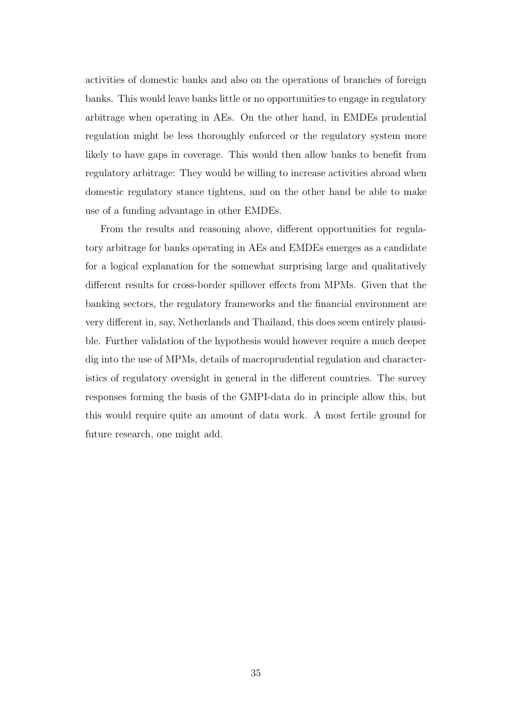activities of domestic banks and also on the operations of branches of foreign banks. This would leave banks little or no opportunities to engage in regulatory arbitrage when operating in AEs. On the other hand, in EMDEs prudential regulation might be less thoroughly enforced or the regulatory system more likely to have gaps in coverage. This would then allow banks to benefit from regulatory arbitrage: They would be willing to increase activities abroad when domestic regulatory stance tightens, and on the other hand be able to make use of a funding advantage in other EMDEs.

From the results and reasoning above, different opportunities for regulatory arbitrage for banks operating in AEs and EMDEs emerges as a candidate for a logical explanation for the somewhat surprising large and qualitatively different results for cross-border spillover effects from MPMs. Given that the banking sectors, the regulatory frameworks and the financial environment are very different in, say, Netherlands and Thailand, this does seem entirely plausible. Further validation of the hypothesis would however require a much deeper dig into the use of MPMs, details of macroprudential regulation and characteristics of regulatory oversight in general in the different countries. The survey responses forming the basis of the GMPI-data do in principle allow this, but this would require quite an amount of data work. A most fertile ground for future research, one might add.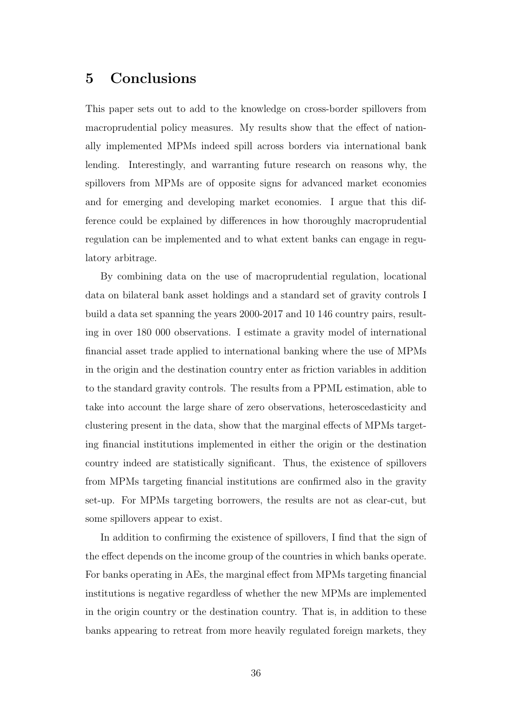### <span id="page-38-0"></span>5 Conclusions

This paper sets out to add to the knowledge on cross-border spillovers from macroprudential policy measures. My results show that the effect of nationally implemented MPMs indeed spill across borders via international bank lending. Interestingly, and warranting future research on reasons why, the spillovers from MPMs are of opposite signs for advanced market economies and for emerging and developing market economies. I argue that this difference could be explained by differences in how thoroughly macroprudential regulation can be implemented and to what extent banks can engage in regulatory arbitrage.

By combining data on the use of macroprudential regulation, locational data on bilateral bank asset holdings and a standard set of gravity controls I build a data set spanning the years 2000-2017 and 10 146 country pairs, resulting in over 180 000 observations. I estimate a gravity model of international financial asset trade applied to international banking where the use of MPMs in the origin and the destination country enter as friction variables in addition to the standard gravity controls. The results from a PPML estimation, able to take into account the large share of zero observations, heteroscedasticity and clustering present in the data, show that the marginal effects of MPMs targeting financial institutions implemented in either the origin or the destination country indeed are statistically significant. Thus, the existence of spillovers from MPMs targeting financial institutions are confirmed also in the gravity set-up. For MPMs targeting borrowers, the results are not as clear-cut, but some spillovers appear to exist.

In addition to confirming the existence of spillovers, I find that the sign of the effect depends on the income group of the countries in which banks operate. For banks operating in AEs, the marginal effect from MPMs targeting financial institutions is negative regardless of whether the new MPMs are implemented in the origin country or the destination country. That is, in addition to these banks appearing to retreat from more heavily regulated foreign markets, they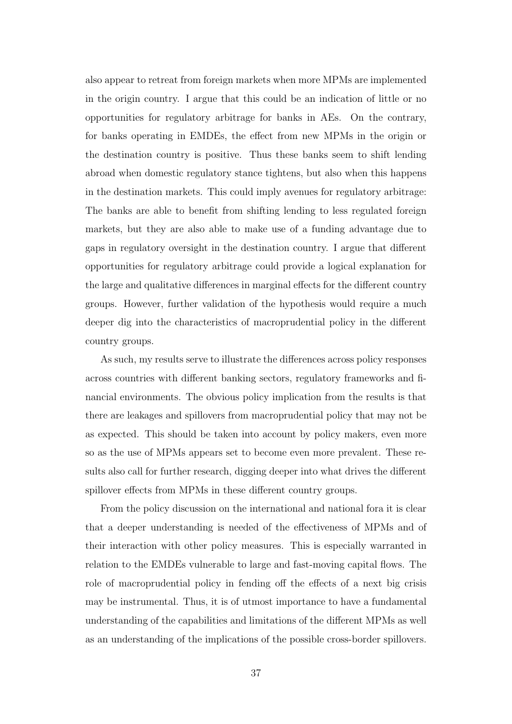also appear to retreat from foreign markets when more MPMs are implemented in the origin country. I argue that this could be an indication of little or no opportunities for regulatory arbitrage for banks in AEs. On the contrary, for banks operating in EMDEs, the effect from new MPMs in the origin or the destination country is positive. Thus these banks seem to shift lending abroad when domestic regulatory stance tightens, but also when this happens in the destination markets. This could imply avenues for regulatory arbitrage: The banks are able to benefit from shifting lending to less regulated foreign markets, but they are also able to make use of a funding advantage due to gaps in regulatory oversight in the destination country. I argue that different opportunities for regulatory arbitrage could provide a logical explanation for the large and qualitative differences in marginal effects for the different country groups. However, further validation of the hypothesis would require a much deeper dig into the characteristics of macroprudential policy in the different country groups.

As such, my results serve to illustrate the differences across policy responses across countries with different banking sectors, regulatory frameworks and financial environments. The obvious policy implication from the results is that there are leakages and spillovers from macroprudential policy that may not be as expected. This should be taken into account by policy makers, even more so as the use of MPMs appears set to become even more prevalent. These results also call for further research, digging deeper into what drives the different spillover effects from MPMs in these different country groups.

From the policy discussion on the international and national fora it is clear that a deeper understanding is needed of the effectiveness of MPMs and of their interaction with other policy measures. This is especially warranted in relation to the EMDEs vulnerable to large and fast-moving capital flows. The role of macroprudential policy in fending off the effects of a next big crisis may be instrumental. Thus, it is of utmost importance to have a fundamental understanding of the capabilities and limitations of the different MPMs as well as an understanding of the implications of the possible cross-border spillovers.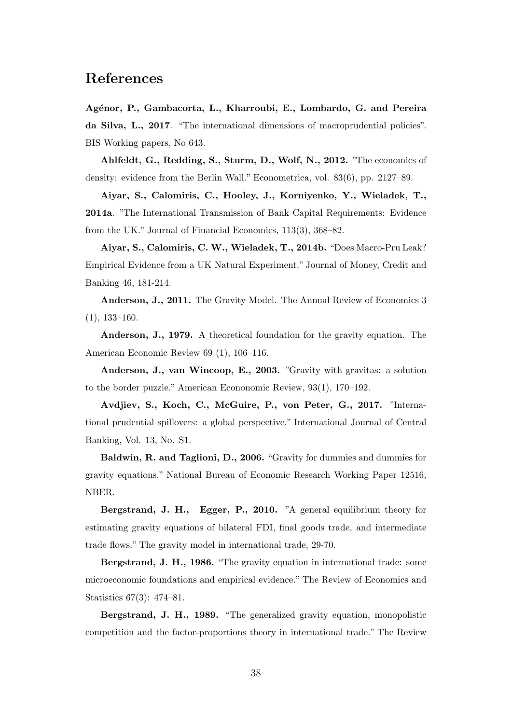## References

Agénor, P., Gambacorta, L., Kharroubi, E., Lombardo, G. and Pereira da Silva, L., 2017. "The international dimensions of macroprudential policies". BIS Working papers, No 643.

Ahlfeldt, G., Redding, S., Sturm, D., Wolf, N., 2012. "The economics of density: evidence from the Berlin Wall." Econometrica, vol. 83(6), pp. 2127–89.

Aiyar, S., Calomiris, C., Hooley, J., Korniyenko, Y., Wieladek, T., 2014a. "The International Transmission of Bank Capital Requirements: Evidence from the UK." Journal of Financial Economics, 113(3), 368–82.

Aiyar, S., Calomiris, C. W., Wieladek, T., 2014b. "Does Macro-Pru Leak? Empirical Evidence from a UK Natural Experiment." Journal of Money, Credit and Banking 46, 181-214.

Anderson, J., 2011. The Gravity Model. The Annual Review of Economics 3  $(1), 133-160.$ 

Anderson, J., 1979. A theoretical foundation for the gravity equation. The American Economic Review 69 (1), 106–116.

Anderson, J., van Wincoop, E., 2003. "Gravity with gravitas: a solution to the border puzzle." American Econonomic Review, 93(1), 170–192.

Avdjiev, S., Koch, C., McGuire, P., von Peter, G., 2017. "International prudential spillovers: a global perspective." International Journal of Central Banking, Vol. 13, No. S1.

Baldwin, R. and Taglioni, D., 2006. "Gravity for dummies and dummies for gravity equations." National Bureau of Economic Research Working Paper 12516, NBER.

Bergstrand, J. H., Egger, P., 2010. "A general equilibrium theory for estimating gravity equations of bilateral FDI, final goods trade, and intermediate trade flows." The gravity model in international trade, 29-70.

Bergstrand, J. H., 1986. "The gravity equation in international trade: some microeconomic foundations and empirical evidence." The Review of Economics and Statistics 67(3): 474–81.

Bergstrand, J. H., 1989. "The generalized gravity equation, monopolistic competition and the factor-proportions theory in international trade." The Review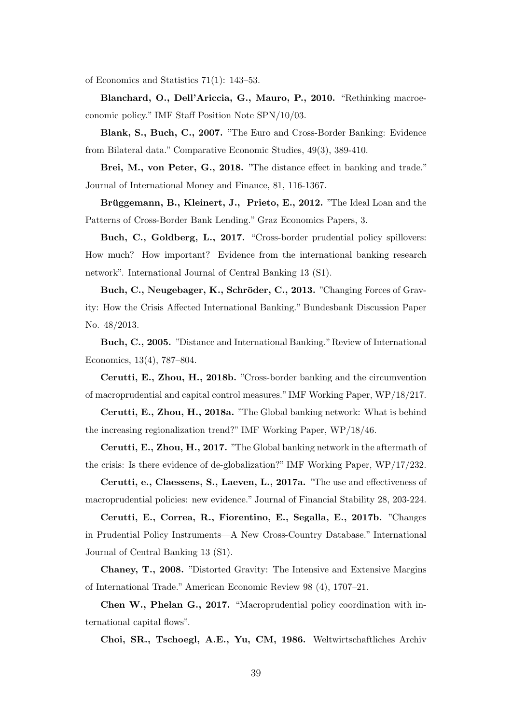of Economics and Statistics 71(1): 143–53.

Blanchard, O., Dell'Ariccia, G., Mauro, P., 2010. "Rethinking macroeconomic policy." IMF Staff Position Note SPN/10/03.

Blank, S., Buch, C., 2007. "The Euro and Cross-Border Banking: Evidence from Bilateral data." Comparative Economic Studies, 49(3), 389-410.

Brei, M., von Peter, G., 2018. "The distance effect in banking and trade." Journal of International Money and Finance, 81, 116-1367.

Brüggemann, B., Kleinert, J., Prieto, E., 2012. "The Ideal Loan and the Patterns of Cross-Border Bank Lending." Graz Economics Papers, 3.

Buch, C., Goldberg, L., 2017. "Cross-border prudential policy spillovers: How much? How important? Evidence from the international banking research network". International Journal of Central Banking 13 (S1).

Buch, C., Neugebager, K., Schröder, C., 2013. "Changing Forces of Gravity: How the Crisis Affected International Banking." Bundesbank Discussion Paper No. 48/2013.

Buch, C., 2005. "Distance and International Banking."Review of International Economics, 13(4), 787–804.

Cerutti, E., Zhou, H., 2018b. "Cross-border banking and the circumvention of macroprudential and capital control measures." IMF Working Paper, WP/18/217.

Cerutti, E., Zhou, H., 2018a. "The Global banking network: What is behind the increasing regionalization trend?" IMF Working Paper, WP/18/46.

Cerutti, E., Zhou, H., 2017. "The Global banking network in the aftermath of the crisis: Is there evidence of de-globalization?" IMF Working Paper, WP/17/232.

Cerutti, e., Claessens, S., Laeven, L., 2017a. "The use and effectiveness of macroprudential policies: new evidence." Journal of Financial Stability 28, 203-224.

Cerutti, E., Correa, R., Fiorentino, E., Segalla, E., 2017b. "Changes in Prudential Policy Instruments—A New Cross-Country Database." International Journal of Central Banking 13 (S1).

Chaney, T., 2008. "Distorted Gravity: The Intensive and Extensive Margins of International Trade." American Economic Review 98 (4), 1707–21.

Chen W., Phelan G., 2017. "Macroprudential policy coordination with international capital flows".

Choi, SR., Tschoegl, A.E., Yu, CM, 1986. Weltwirtschaftliches Archiv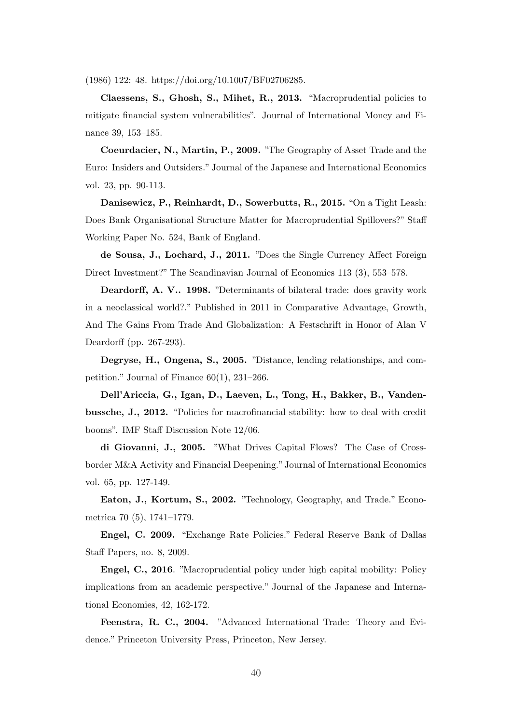(1986) 122: 48. https://doi.org/10.1007/BF02706285.

Claessens, S., Ghosh, S., Mihet, R., 2013. "Macroprudential policies to mitigate financial system vulnerabilities". Journal of International Money and Finance 39, 153–185.

Coeurdacier, N., Martin, P., 2009. "The Geography of Asset Trade and the Euro: Insiders and Outsiders." Journal of the Japanese and International Economics vol. 23, pp. 90-113.

Danisewicz, P., Reinhardt, D., Sowerbutts, R., 2015. "On a Tight Leash: Does Bank Organisational Structure Matter for Macroprudential Spillovers?" Staff Working Paper No. 524, Bank of England.

de Sousa, J., Lochard, J., 2011. "Does the Single Currency Affect Foreign Direct Investment?" The Scandinavian Journal of Economics 113 (3), 553–578.

Deardorff, A. V.. 1998. "Determinants of bilateral trade: does gravity work in a neoclassical world?." Published in 2011 in Comparative Advantage, Growth, And The Gains From Trade And Globalization: A Festschrift in Honor of Alan V Deardorff (pp. 267-293).

Degryse, H., Ongena, S., 2005. "Distance, lending relationships, and competition." Journal of Finance 60(1), 231–266.

Dell'Ariccia, G., Igan, D., Laeven, L., Tong, H., Bakker, B., Vandenbussche, J., 2012. "Policies for macrofinancial stability: how to deal with credit booms". IMF Staff Discussion Note 12/06.

di Giovanni, J., 2005. "What Drives Capital Flows? The Case of Crossborder M&A Activity and Financial Deepening." Journal of International Economics vol. 65, pp. 127-149.

Eaton, J., Kortum, S., 2002. "Technology, Geography, and Trade." Econometrica 70 (5), 1741–1779.

Engel, C. 2009. "Exchange Rate Policies." Federal Reserve Bank of Dallas Staff Papers, no. 8, 2009.

Engel, C., 2016. "Macroprudential policy under high capital mobility: Policy implications from an academic perspective." Journal of the Japanese and International Economies, 42, 162-172.

Feenstra, R. C., 2004. "Advanced International Trade: Theory and Evidence." Princeton University Press, Princeton, New Jersey.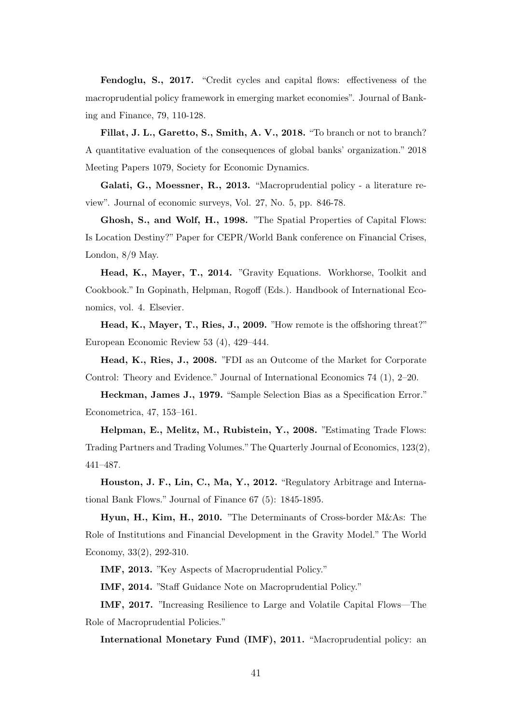Fendoglu, S., 2017. "Credit cycles and capital flows: effectiveness of the macroprudential policy framework in emerging market economies". Journal of Banking and Finance, 79, 110-128.

Fillat, J. L., Garetto, S., Smith, A. V., 2018. "To branch or not to branch? A quantitative evaluation of the consequences of global banks' organization." 2018 Meeting Papers 1079, Society for Economic Dynamics.

Galati, G., Moessner, R., 2013. "Macroprudential policy - a literature review". Journal of economic surveys, Vol. 27, No. 5, pp. 846-78.

Ghosh, S., and Wolf, H., 1998. "The Spatial Properties of Capital Flows: Is Location Destiny?" Paper for CEPR/World Bank conference on Financial Crises, London, 8/9 May.

Head, K., Mayer, T., 2014. "Gravity Equations. Workhorse, Toolkit and Cookbook." In Gopinath, Helpman, Rogoff (Eds.). Handbook of International Economics, vol. 4. Elsevier.

Head, K., Mayer, T., Ries, J., 2009. "How remote is the offshoring threat?" European Economic Review 53 (4), 429–444.

Head, K., Ries, J., 2008. "FDI as an Outcome of the Market for Corporate Control: Theory and Evidence." Journal of International Economics 74 (1), 2–20.

Heckman, James J., 1979. "Sample Selection Bias as a Specification Error." Econometrica, 47, 153–161.

Helpman, E., Melitz, M., Rubistein, Y., 2008. "Estimating Trade Flows: Trading Partners and Trading Volumes."The Quarterly Journal of Economics, 123(2), 441–487.

Houston, J. F., Lin, C., Ma, Y., 2012. "Regulatory Arbitrage and International Bank Flows." Journal of Finance 67 (5): 1845-1895.

Hyun, H., Kim, H., 2010. "The Determinants of Cross-border M&As: The Role of Institutions and Financial Development in the Gravity Model." The World Economy, 33(2), 292-310.

IMF, 2013. "Key Aspects of Macroprudential Policy."

IMF, 2014. "Staff Guidance Note on Macroprudential Policy."

IMF, 2017. "Increasing Resilience to Large and Volatile Capital Flows—The Role of Macroprudential Policies."

International Monetary Fund (IMF), 2011. "Macroprudential policy: an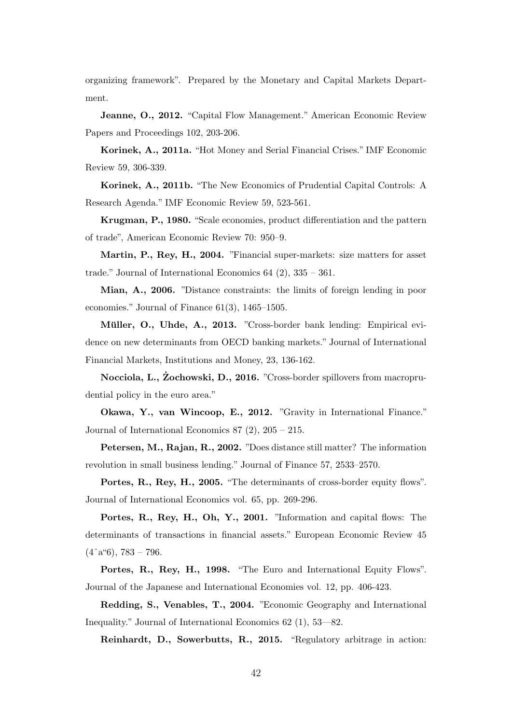organizing framework". Prepared by the Monetary and Capital Markets Department.

Jeanne, O., 2012. "Capital Flow Management." American Economic Review Papers and Proceedings 102, 203-206.

Korinek, A., 2011a. "Hot Money and Serial Financial Crises." IMF Economic Review 59, 306-339.

Korinek, A., 2011b. "The New Economics of Prudential Capital Controls: A Research Agenda." IMF Economic Review 59, 523-561.

Krugman, P., 1980. "Scale economies, product differentiation and the pattern of trade", American Economic Review 70: 950–9.

Martin, P., Rey, H., 2004. "Financial super-markets: size matters for asset trade." Journal of International Economics 64 (2), 335 – 361.

Mian, A., 2006. "Distance constraints: the limits of foreign lending in poor economies." Journal of Finance 61(3), 1465–1505.

Müller, O., Uhde, A., 2013. "Cross-border bank lending: Empirical evidence on new determinants from OECD banking markets." Journal of International Financial Markets, Institutions and Money, 23, 136-162.

Nocciola, L., Zochowski, D., 2016. ˙ "Cross-border spillovers from macroprudential policy in the euro area."

Okawa, Y., van Wincoop, E., 2012. "Gravity in International Finance." Journal of International Economics 87 (2), 205 – 215.

Petersen, M., Rajan, R., 2002. "Does distance still matter? The information revolution in small business lending." Journal of Finance 57, 2533–2570.

Portes, R., Rey, H., 2005. "The determinants of cross-border equity flows". Journal of International Economics vol. 65, pp. 269-296.

Portes, R., Rey, H., Oh, Y., 2001. "Information and capital flows: The determinants of transactions in financial assets." European Economic Review 45  $(4\hat{a}$ <sup>"</sup>6), 783 – 796.

Portes, R., Rey, H., 1998. "The Euro and International Equity Flows". Journal of the Japanese and International Economies vol. 12, pp. 406-423.

Redding, S., Venables, T., 2004. "Economic Geography and International Inequality." Journal of International Economics 62 (1), 53—82.

Reinhardt, D., Sowerbutts, R., 2015. "Regulatory arbitrage in action: